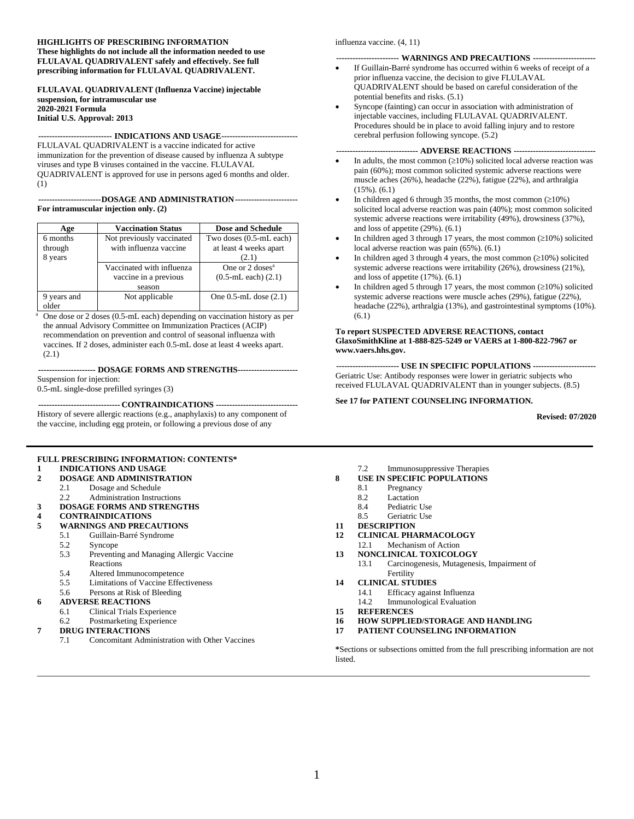#### **HIGHLIGHTS OF PRESCRIBING INFORMATION These highlights do not include all the information needed to use FLULAVAL QUADRIVALENT safely and effectively. See full prescribing information for FLULAVAL QUADRIVALENT.**

**FLULAVAL QUADRIVALENT (Influenza Vaccine) injectable suspension, for intramuscular use 2020-2021 Formula Initial U.S. Approval: 2013**

#### **--------------------------- INDICATIONS AND USAGE----------------------------**

FLULAVAL QUADRIVALENT is a vaccine indicated for active immunization for the prevention of disease caused by influenza A subtype viruses and type B viruses contained in the vaccine. FLULAVAL QUADRIVALENT is approved for use in persons aged 6 months and older. (1)

#### **-----------------------DOSAGE AND ADMINISTRATION----------------------- For intramuscular injection only. (2)**

| Age         | <b>Vaccination Status</b> | <b>Dose and Schedule</b>   |
|-------------|---------------------------|----------------------------|
| 6 months    | Not previously vaccinated | Two doses (0.5-mL each)    |
| through     | with influenza vaccine    | at least 4 weeks apart     |
| 8 years     |                           | (2.1)                      |
|             | Vaccinated with influenza | One or $2 \text{ doses}^a$ |
|             | vaccine in a previous     | $(0.5-mL$ each $)(2.1)$    |
|             | season                    |                            |
| 9 years and | Not applicable            | One $0.5$ -mL dose $(2.1)$ |
| older       |                           |                            |

<sup>a</sup> One dose or 2 doses (0.5-mL each) depending on vaccination history as per the annual Advisory Committee on Immunization Practices (ACIP) recommendation on prevention and control of seasonal influenza with vaccines. If 2 doses, administer each 0.5-mL dose at least 4 weeks apart. (2.1)

**--------------------- DOSAGE FORMS AND STRENGTHS----------------------**

Suspension for injection:

0.5-mL single-dose prefilled syringes (3)

**------------------------------ CONTRAINDICATIONS ------------------------------** History of severe allergic reactions (e.g., anaphylaxis) to any component of the vaccine, including egg protein, or following a previous dose of any

#### **FULL PRESCRIBING INFORMATION: CONTENTS\***

# **1 [INDICATIONS AND USAGE](#page-1-0)**<br>**2 DOSAGE AND ADMINISTR**

- **2 [DOSAGE AND ADMINISTRATION](#page-1-1)**
	- 2.1 [Dosage and Schedule](#page-1-2)<br>2.2 Administration Instruct
	- [Administration Instructions](#page-1-3)
- **3 [DOSAGE FORMS AND STRENGTHS](#page-1-4)**

#### **4 [CONTRAINDICATIONS](#page-2-0)**

- **5 [WARNINGS AND PRECAUTIONS](#page-2-1)**
	- 5.1 [Guillain-Barré Syndrome](#page-2-2)
		- 5.2 [Syncope](#page-2-3)
		- 5.3 [Preventing and Managing Allergic Vaccine](#page-2-4)  [Reactions](#page-2-4)
		- 5.4 [Altered Immunocompetence](#page-2-5)<br>5.5 I imitations of Vaccine Effec
		- 5.5 [Limitations of Vaccine Effectiveness](#page-2-6)
		- 5.6 [Persons at Risk of Bleeding](#page-2-7)

#### **6 [ADVERSE REACTIONS](#page-3-0)**

- 6.1 [Clinical Trials Experience](#page-3-1)
- 6.2 [Postmarketing Experience](#page-11-0)
- **7 [DRUG INTERACTIONS](#page-12-0)**
	- 7.1 [Concomitant Administration with Other Vaccines](#page-12-1)

influenza vaccine. (4, 11)

#### **----------------------- WARNINGS AND PRECAUTIONS -----------------------**

- If Guillain-Barré syndrome has occurred within 6 weeks of receipt of a prior influenza vaccine, the decision to give FLULAVAL QUADRIVALENT should be based on careful consideration of the potential benefits and risks. (5.1)
- Syncope (fainting) can occur in association with administration of injectable vaccines, including FLULAVAL QUADRIVALENT. Procedures should be in place to avoid falling injury and to restore cerebral perfusion following syncope. (5.2)

#### **------------------------------ ADVERSE REACTIONS ------------------------------**

- In adults, the most common  $(\geq 10\%)$  solicited local adverse reaction was pain (60%); most common solicited systemic adverse reactions were muscle aches (26%), headache (22%), fatigue (22%), and arthralgia (15%). (6.1)
- In children aged 6 through 35 months, the most common  $(≥10%)$ solicited local adverse reaction was pain (40%); most common solicited systemic adverse reactions were irritability (49%), drowsiness (37%), and loss of appetite (29%). (6.1)
- In children aged 3 through 17 years, the most common  $(\geq 10\%)$  solicited local adverse reaction was pain (65%). (6.1)
- In children aged 3 through 4 years, the most common  $(\geq 10\%)$  solicited systemic adverse reactions were irritability (26%), drowsiness (21%), and loss of appetite (17%). (6.1)
- In children aged 5 through 17 years, the most common  $(≥10%)$  solicited systemic adverse reactions were muscle aches (29%), fatigue (22%), headache (22%), arthralgia (13%), and gastrointestinal symptoms (10%). (6.1)

#### **To report SUSPECTED ADVERSE REACTIONS, contact GlaxoSmithKline at 1-888-825-5249 or VAERS at 1-800-822-7967 or www.vaers.hhs.gov.**

**----------------------- USE IN SPECIFIC POPULATIONS -----------------------** Geriatric Use: Antibody responses were lower in geriatric subjects who received FLULAVAL QUADRIVALENT than in younger subjects. (8.5)

#### **See 17 for PATIENT COUNSELING INFORMATION.**

**Revised: 07/2020**

- 7.2 [Immunosuppressive Therapies](#page-12-2)
- **8 [USE IN SPECIFIC POPULATIONS](#page-12-3)**
	- 8.1 [Pregnancy](#page-12-4)<br>8.2 Lactation
	- [Lactation](#page-13-0)
	- 8.4 [Pediatric Use](#page-13-1)<br>8.5 Geriatric Use
	- [Geriatric Use](#page-13-2)
- **11 [DESCRIPTION](#page-14-0)**
- **12 [CLINICAL PHARMACOLOGY](#page-14-1)**
- 12.1 [Mechanism of Action](#page-14-2)
- **13 [NONCLINICAL TOXICOLOGY](#page-15-0)**
	- 13.1 [Carcinogenesis, Mutagenesis, Impairment of](#page-15-1)  [Fertility](#page-15-1)
- **14 [CLINICAL STUDIES](#page-15-2)**
	- 14.1 [Efficacy against Influenza](#page-15-3)
	- 14.2 [Immunological Evaluation](#page-18-0)
- **15 [REFERENCES](#page-24-0)**
- **16 [HOW SUPPLIED/STORAGE](#page-24-1) AND HANDLING**
- **17 [PATIENT COUNSELING INFORMATION](#page-24-2)**

**\***Sections or subsections omitted from the full prescribing information are not listed.

**\_\_\_\_\_\_\_\_\_\_\_\_\_\_\_\_\_\_\_\_\_\_\_\_\_\_\_\_\_\_\_\_\_\_\_\_\_\_\_\_\_\_\_\_\_\_\_\_\_\_\_\_\_\_\_\_\_\_\_\_\_\_\_\_\_\_\_\_\_\_\_\_\_\_\_\_\_\_\_\_**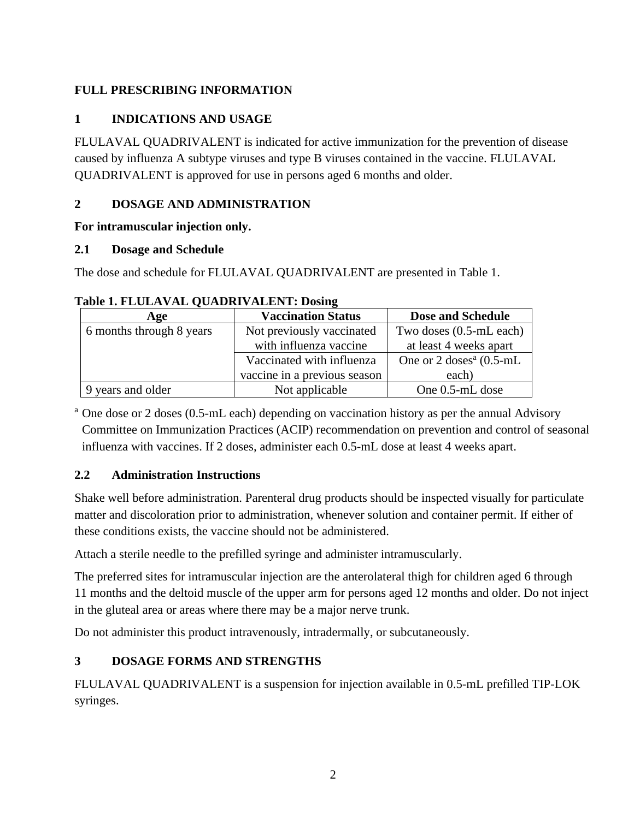## <span id="page-1-0"></span>**FULL PRESCRIBING INFORMATION**

## **1 INDICATIONS AND USAGE**

FLULAVAL QUADRIVALENT is indicated for active immunization for the prevention of disease caused by influenza A subtype viruses and type B viruses contained in the vaccine. FLULAVAL QUADRIVALENT is approved for use in persons aged 6 months and older.

## <span id="page-1-1"></span>**2 DOSAGE AND ADMINISTRATION**

### **For intramuscular injection only.**

### <span id="page-1-2"></span>**2.1 Dosage and Schedule**

The dose and schedule for FLULAVAL QUADRIVALENT are presented in Table 1.

| Age                      | <b>Vaccination Status</b>    | <b>Dose and Schedule</b>            |
|--------------------------|------------------------------|-------------------------------------|
| 6 months through 8 years | Not previously vaccinated    | Two doses (0.5-mL each)             |
|                          | with influenza vaccine       | at least 4 weeks apart              |
|                          | Vaccinated with influenza    | One or $2 \text{ doses}^a$ (0.5-mL) |
|                          | vaccine in a previous season | each)                               |
| 9 years and older        | Not applicable               | One 0.5-mL dose                     |

## **Table 1. FLULAVAL QUADRIVALENT: Dosing**

<sup>a</sup> One dose or 2 doses (0.5-mL each) depending on vaccination history as per the annual Advisory Committee on Immunization Practices (ACIP) recommendation on prevention and control of seasonal influenza with vaccines. If 2 doses, administer each 0.5-mL dose at least 4 weeks apart.

## <span id="page-1-3"></span>**2.2 Administration Instructions**

Shake well before administration. Parenteral drug products should be inspected visually for particulate matter and discoloration prior to administration, whenever solution and container permit. If either of these conditions exists, the vaccine should not be administered.

Attach a sterile needle to the prefilled syringe and administer intramuscularly.

The preferred sites for intramuscular injection are the anterolateral thigh for children aged 6 through 11 months and the deltoid muscle of the upper arm for persons aged 12 months and older. Do not inject in the gluteal area or areas where there may be a major nerve trunk.

<span id="page-1-4"></span>Do not administer this product intravenously, intradermally, or subcutaneously.

# **3 DOSAGE FORMS AND STRENGTHS**

FLULAVAL QUADRIVALENT is a suspension for injection available in 0.5-mL prefilled TIP-LOK syringes.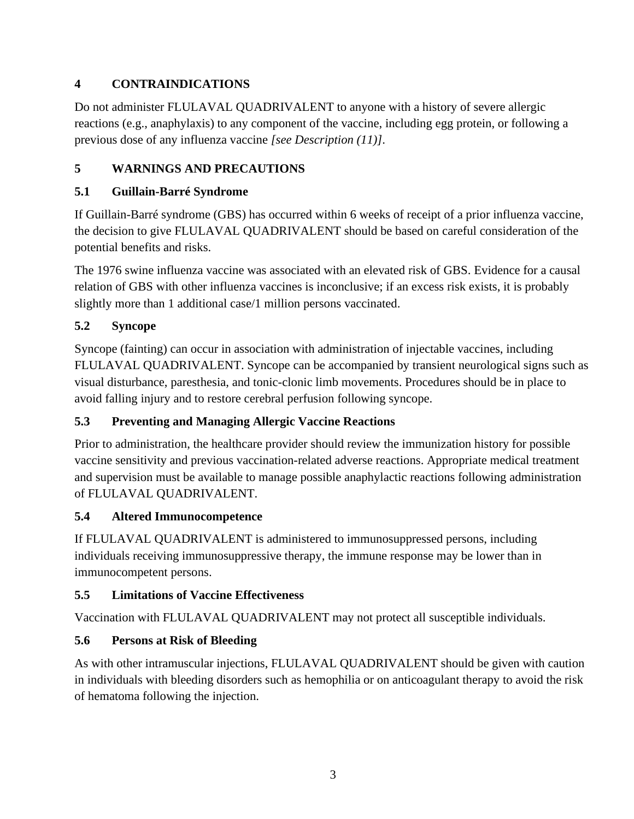# <span id="page-2-0"></span>**4 CONTRAINDICATIONS**

Do not administer FLULAVAL QUADRIVALENT to anyone with a history of severe allergic reactions (e.g., anaphylaxis) to any component of the vaccine, including egg protein, or following a previous dose of any influenza vaccine *[see Description (11)]*.

# <span id="page-2-1"></span>**5 WARNINGS AND PRECAUTIONS**

## <span id="page-2-2"></span>**5.1 Guillain-Barré Syndrome**

If Guillain-Barré syndrome (GBS) has occurred within 6 weeks of receipt of a prior influenza vaccine, the decision to give FLULAVAL QUADRIVALENT should be based on careful consideration of the potential benefits and risks.

The 1976 swine influenza vaccine was associated with an elevated risk of GBS. Evidence for a causal relation of GBS with other influenza vaccines is inconclusive; if an excess risk exists, it is probably slightly more than 1 additional case/1 million persons vaccinated.

# <span id="page-2-3"></span>**5.2 Syncope**

Syncope (fainting) can occur in association with administration of injectable vaccines, including FLULAVAL QUADRIVALENT. Syncope can be accompanied by transient neurological signs such as visual disturbance, paresthesia, and tonic-clonic limb movements. Procedures should be in place to avoid falling injury and to restore cerebral perfusion following syncope.

## <span id="page-2-4"></span>**5.3 Preventing and Managing Allergic Vaccine Reactions**

Prior to administration, the healthcare provider should review the immunization history for possible vaccine sensitivity and previous vaccination-related adverse reactions. Appropriate medical treatment and supervision must be available to manage possible anaphylactic reactions following administration of FLULAVAL QUADRIVALENT.

## <span id="page-2-5"></span>**5.4 Altered Immunocompetence**

If FLULAVAL QUADRIVALENT is administered to immunosuppressed persons, including individuals receiving immunosuppressive therapy, the immune response may be lower than in immunocompetent persons.

## <span id="page-2-6"></span>**5.5 Limitations of Vaccine Effectiveness**

Vaccination with FLULAVAL QUADRIVALENT may not protect all susceptible individuals.

# <span id="page-2-7"></span>**5.6 Persons at Risk of Bleeding**

As with other intramuscular injections, FLULAVAL QUADRIVALENT should be given with caution in individuals with bleeding disorders such as hemophilia or on anticoagulant therapy to avoid the risk of hematoma following the injection.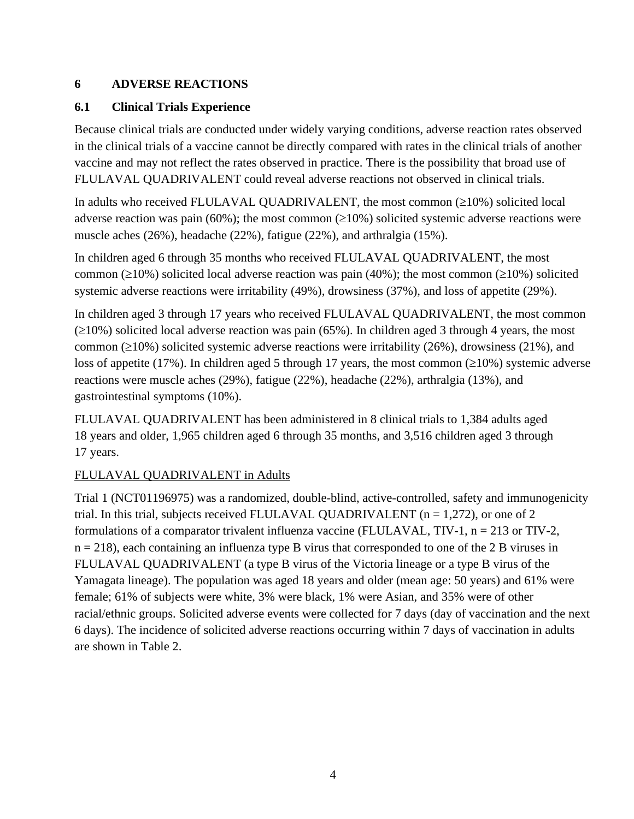## <span id="page-3-0"></span>**6 ADVERSE REACTIONS**

## <span id="page-3-1"></span>**6.1 Clinical Trials Experience**

Because clinical trials are conducted under widely varying conditions, adverse reaction rates observed in the clinical trials of a vaccine cannot be directly compared with rates in the clinical trials of another vaccine and may not reflect the rates observed in practice. There is the possibility that broad use of FLULAVAL QUADRIVALENT could reveal adverse reactions not observed in clinical trials.

In adults who received FLULAVAL QUADRIVALENT, the most common  $(\geq 10\%)$  solicited local adverse reaction was pain (60%); the most common  $(\geq 10\%)$  solicited systemic adverse reactions were muscle aches (26%), headache (22%), fatigue (22%), and arthralgia (15%).

In children aged 6 through 35 months who received FLULAVAL QUADRIVALENT, the most common ( $\geq$ 10%) solicited local adverse reaction was pain (40%); the most common ( $\geq$ 10%) solicited systemic adverse reactions were irritability (49%), drowsiness (37%), and loss of appetite (29%).

In children aged 3 through 17 years who received FLULAVAL QUADRIVALENT, the most common  $(\geq 10\%)$  solicited local adverse reaction was pain (65%). In children aged 3 through 4 years, the most common ( $\geq$ 10%) solicited systemic adverse reactions were irritability (26%), drowsiness (21%), and loss of appetite (17%). In children aged 5 through 17 years, the most common  $(\geq 10\%)$  systemic adverse reactions were muscle aches (29%), fatigue (22%), headache (22%), arthralgia (13%), and gastrointestinal symptoms (10%).

FLULAVAL QUADRIVALENT has been administered in 8 clinical trials to 1,384 adults aged 18 years and older, 1,965 children aged 6 through 35 months, and 3,516 children aged 3 through 17 years.

## FLULAVAL QUADRIVALENT in Adults

Trial 1 (NCT01196975) was a randomized, double-blind, active-controlled, safety and immunogenicity trial. In this trial, subjects received FLULAVAL QUADRIVALENT ( $n = 1,272$ ), or one of 2 formulations of a comparator trivalent influenza vaccine (FLULAVAL, TIV-1,  $n = 213$  or TIV-2,  $n = 218$ ), each containing an influenza type B virus that corresponded to one of the 2 B viruses in FLULAVAL QUADRIVALENT (a type B virus of the Victoria lineage or a type B virus of the Yamagata lineage). The population was aged 18 years and older (mean age: 50 years) and 61% were female; 61% of subjects were white, 3% were black, 1% were Asian, and 35% were of other racial/ethnic groups. Solicited adverse events were collected for 7 days (day of vaccination and the next 6 days). The incidence of solicited adverse reactions occurring within 7 days of vaccination in adults are shown in Table 2.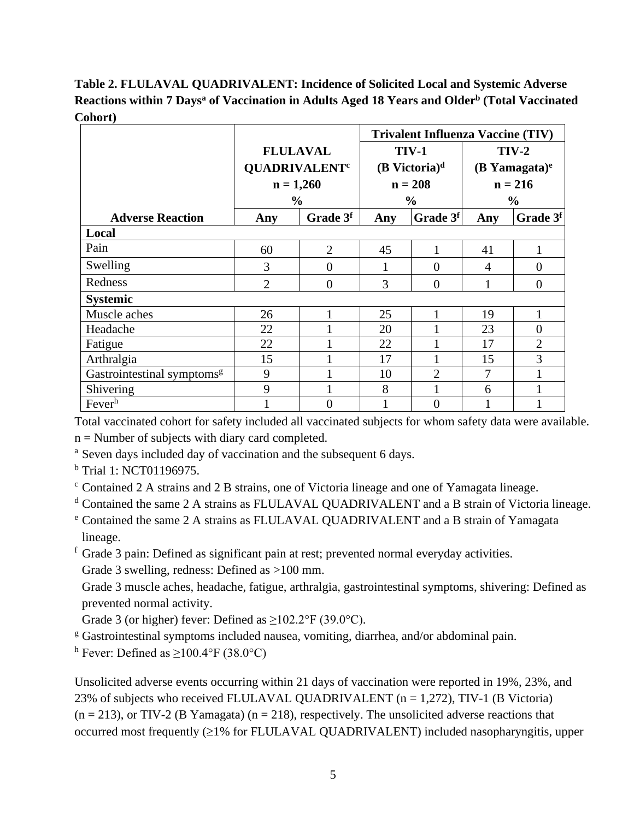**Table 2. FLULAVAL QUADRIVALENT: Incidence of Solicited Local and Systemic Adverse Reactions within 7 Daysa of Vaccination in Adults Aged 18 Years and Olderb (Total Vaccinated Cohort)**

|                                        |                                 |                      | <b>Trivalent Influenza Vaccine (TIV)</b> |                             |                    |                      |  |
|----------------------------------------|---------------------------------|----------------------|------------------------------------------|-----------------------------|--------------------|----------------------|--|
|                                        | <b>FLULAVAL</b>                 |                      | <b>TIV-1</b>                             |                             | $TIV-2$            |                      |  |
|                                        | <b>QUADRIVALENT<sup>c</sup></b> |                      |                                          | $(B$ Victoria) <sup>d</sup> | $(B$ Yamagata) $e$ |                      |  |
|                                        | $n = 1,260$                     |                      | $n = 208$                                |                             | $n = 216$          |                      |  |
|                                        | $\frac{0}{0}$                   |                      |                                          | $\frac{0}{0}$               |                    | $\frac{0}{0}$        |  |
| <b>Adverse Reaction</b>                | Any                             | Grade 3 <sup>f</sup> | Any                                      | Grade $3f$                  | Any                | Grade 3 <sup>f</sup> |  |
| Local                                  |                                 |                      |                                          |                             |                    |                      |  |
| Pain                                   | 60                              | $\overline{2}$       | 45                                       |                             | 41                 |                      |  |
| Swelling                               | 3                               | $\overline{0}$       |                                          | $\overline{0}$              | 4                  | $\overline{0}$       |  |
| Redness                                | $\overline{2}$                  | $\overline{0}$       | 3                                        | $\Omega$                    |                    | $\theta$             |  |
| <b>Systemic</b>                        |                                 |                      |                                          |                             |                    |                      |  |
| Muscle aches                           | 26                              |                      | 25                                       |                             | 19                 |                      |  |
| Headache                               | 22                              |                      | 20                                       |                             | 23                 | $\overline{0}$       |  |
| Fatigue                                | 22                              |                      | 22                                       |                             | 17                 | $\overline{2}$       |  |
| Arthralgia                             | 15                              |                      | 17                                       |                             | 15                 | 3                    |  |
| Gastrointestinal symptoms <sup>g</sup> | 9                               |                      | 10                                       | $\overline{2}$              | $\overline{7}$     |                      |  |
| Shivering                              | 9                               |                      | 8                                        |                             | 6                  | 1                    |  |
| Fever <sup>h</sup>                     |                                 | $\overline{0}$       |                                          | $\overline{0}$              |                    |                      |  |

Total vaccinated cohort for safety included all vaccinated subjects for whom safety data were available.  $n =$  Number of subjects with diary card completed.

<sup>a</sup> Seven days included day of vaccination and the subsequent 6 days.

<sup>b</sup> Trial 1: NCT01196975.

<sup>c</sup> Contained 2 A strains and 2 B strains, one of Victoria lineage and one of Yamagata lineage.

<sup>d</sup> Contained the same 2 A strains as FLULAVAL QUADRIVALENT and a B strain of Victoria lineage.

- <sup>e</sup> Contained the same 2 A strains as FLULAVAL QUADRIVALENT and a B strain of Yamagata lineage.
- <sup>f</sup> Grade 3 pain: Defined as significant pain at rest; prevented normal everyday activities.

Grade 3 swelling, redness: Defined as >100 mm.

Grade 3 muscle aches, headache, fatigue, arthralgia, gastrointestinal symptoms, shivering: Defined as prevented normal activity.

Grade 3 (or higher) fever: Defined as  $\geq 102.2^{\circ}$  F (39.0°C).

<sup>g</sup> Gastrointestinal symptoms included nausea, vomiting, diarrhea, and/or abdominal pain.

<sup>h</sup> Fever: Defined as  $\geq$ 100.4°F (38.0°C)

Unsolicited adverse events occurring within 21 days of vaccination were reported in 19%, 23%, and 23% of subjects who received FLULAVAL QUADRIVALENT ( $n = 1,272$ ), TIV-1 (B Victoria)  $(n = 213)$ , or TIV-2 (B Yamagata)  $(n = 218)$ , respectively. The unsolicited adverse reactions that occurred most frequently (≥1% for FLULAVAL QUADRIVALENT) included nasopharyngitis, upper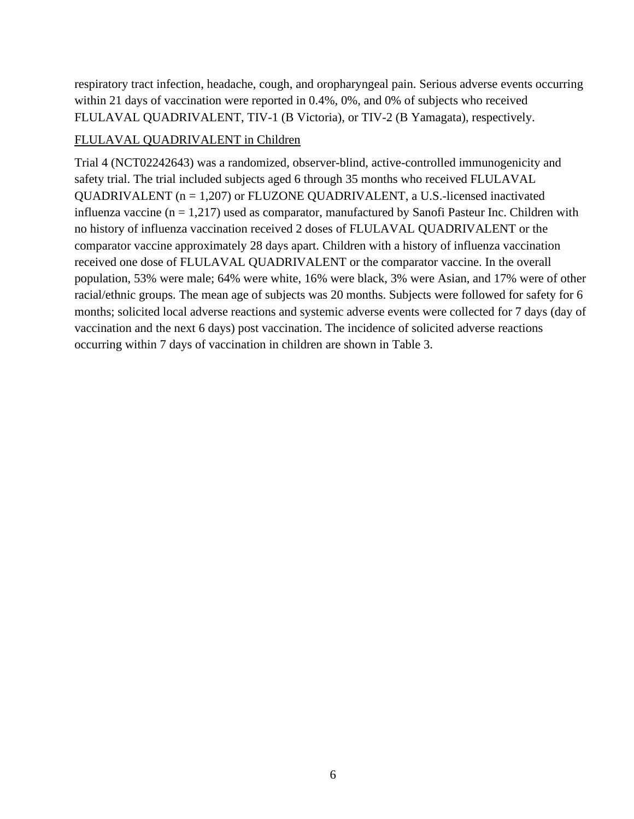respiratory tract infection, headache, cough, and oropharyngeal pain. Serious adverse events occurring within 21 days of vaccination were reported in 0.4%, 0%, and 0% of subjects who received FLULAVAL QUADRIVALENT, TIV-1 (B Victoria), or TIV-2 (B Yamagata), respectively.

#### FLULAVAL QUADRIVALENT in Children

Trial 4 (NCT02242643) was a randomized, observer-blind, active-controlled immunogenicity and safety trial. The trial included subjects aged 6 through 35 months who received FLULAVAL QUADRIVALENT (n = 1,207) or FLUZONE QUADRIVALENT, a U.S.-licensed inactivated influenza vaccine ( $n = 1,217$ ) used as comparator, manufactured by Sanofi Pasteur Inc. Children with no history of influenza vaccination received 2 doses of FLULAVAL QUADRIVALENT or the comparator vaccine approximately 28 days apart. Children with a history of influenza vaccination received one dose of FLULAVAL QUADRIVALENT or the comparator vaccine. In the overall population, 53% were male; 64% were white, 16% were black, 3% were Asian, and 17% were of other racial/ethnic groups. The mean age of subjects was 20 months. Subjects were followed for safety for 6 months; solicited local adverse reactions and systemic adverse events were collected for 7 days (day of vaccination and the next 6 days) post vaccination. The incidence of solicited adverse reactions occurring within 7 days of vaccination in children are shown in Table 3.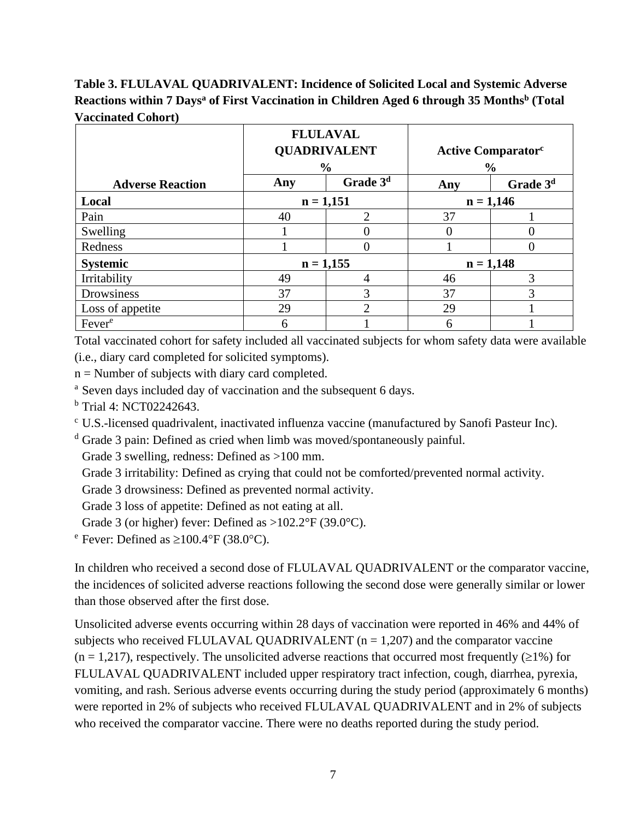**Table 3. FLULAVAL QUADRIVALENT: Incidence of Solicited Local and Systemic Adverse Reactions within 7 Daysa of First Vaccination in Children Aged 6 through 35 Monthsb (Total Vaccinated Cohort)**

|                         | <b>FLULAVAL</b> |                      |     |                                       |             |  |
|-------------------------|-----------------|----------------------|-----|---------------------------------------|-------------|--|
|                         |                 | <b>QUADRIVALENT</b>  |     | <b>Active Comparator</b> <sup>c</sup> |             |  |
|                         |                 | $\frac{0}{0}$        |     | $\frac{6}{6}$                         |             |  |
| <b>Adverse Reaction</b> | Any             | Grade 3 <sup>d</sup> | Any | Grade 3 <sup>d</sup>                  |             |  |
| Local                   | $n = 1,151$     |                      |     |                                       | $n = 1,146$ |  |
| Pain                    | 40              | $\mathfrak{D}$       | 37  |                                       |             |  |
| Swelling                |                 | 0                    |     | $\theta$                              |             |  |
| Redness                 |                 | 0                    |     | 0                                     |             |  |
| <b>Systemic</b>         | $n = 1,155$     |                      |     | $n = 1,148$                           |             |  |
| Irritability            | 49              | 4                    | 46  | 3                                     |             |  |
| Drowsiness              | 37              | 3                    | 37  | 3                                     |             |  |
| Loss of appetite        | 29              | $\mathfrak{D}$       | 29  |                                       |             |  |
| Fever <sup>e</sup>      | 6               |                      | 6   |                                       |             |  |

Total vaccinated cohort for safety included all vaccinated subjects for whom safety data were available (i.e., diary card completed for solicited symptoms).

 $n =$  Number of subjects with diary card completed.

<sup>a</sup> Seven days included day of vaccination and the subsequent 6 days.

 $<sup>b</sup>$  Trial 4: NCT02242643.</sup>

<sup>c</sup> U.S.-licensed quadrivalent, inactivated influenza vaccine (manufactured by Sanofi Pasteur Inc).

<sup>d</sup> Grade 3 pain: Defined as cried when limb was moved/spontaneously painful.

Grade 3 swelling, redness: Defined as >100 mm.

Grade 3 irritability: Defined as crying that could not be comforted/prevented normal activity.

Grade 3 drowsiness: Defined as prevented normal activity.

Grade 3 loss of appetite: Defined as not eating at all.

Grade 3 (or higher) fever: Defined as  $>102.2^{\circ}F(39.0^{\circ}C)$ .

<sup>e</sup> Fever: Defined as  $\geq 100.4$ °F (38.0°C).

In children who received a second dose of FLULAVAL QUADRIVALENT or the comparator vaccine, the incidences of solicited adverse reactions following the second dose were generally similar or lower than those observed after the first dose.

Unsolicited adverse events occurring within 28 days of vaccination were reported in 46% and 44% of subjects who received FLULAVAL QUADRIVALENT ( $n = 1,207$ ) and the comparator vaccine  $(n = 1,217)$ , respectively. The unsolicited adverse reactions that occurred most frequently ( $\geq 1\%$ ) for FLULAVAL QUADRIVALENT included upper respiratory tract infection, cough, diarrhea, pyrexia, vomiting, and rash. Serious adverse events occurring during the study period (approximately 6 months) were reported in 2% of subjects who received FLULAVAL QUADRIVALENT and in 2% of subjects who received the comparator vaccine. There were no deaths reported during the study period.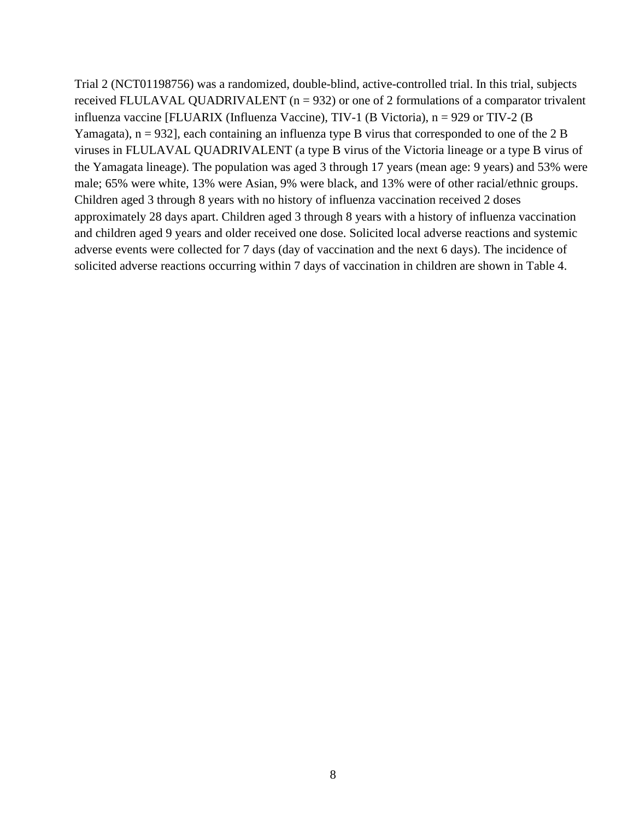Trial 2 (NCT01198756) was a randomized, double-blind, active-controlled trial. In this trial, subjects received FLULAVAL QUADRIVALENT ( $n = 932$ ) or one of 2 formulations of a comparator trivalent influenza vaccine [FLUARIX (Influenza Vaccine), TIV-1 (B Victoria), n = 929 or TIV-2 (B Yamagata),  $n = 932$ , each containing an influenza type B virus that corresponded to one of the 2 B viruses in FLULAVAL QUADRIVALENT (a type B virus of the Victoria lineage or a type B virus of the Yamagata lineage). The population was aged 3 through 17 years (mean age: 9 years) and 53% were male; 65% were white, 13% were Asian, 9% were black, and 13% were of other racial/ethnic groups. Children aged 3 through 8 years with no history of influenza vaccination received 2 doses approximately 28 days apart. Children aged 3 through 8 years with a history of influenza vaccination and children aged 9 years and older received one dose. Solicited local adverse reactions and systemic adverse events were collected for 7 days (day of vaccination and the next 6 days). The incidence of solicited adverse reactions occurring within 7 days of vaccination in children are shown in Table 4.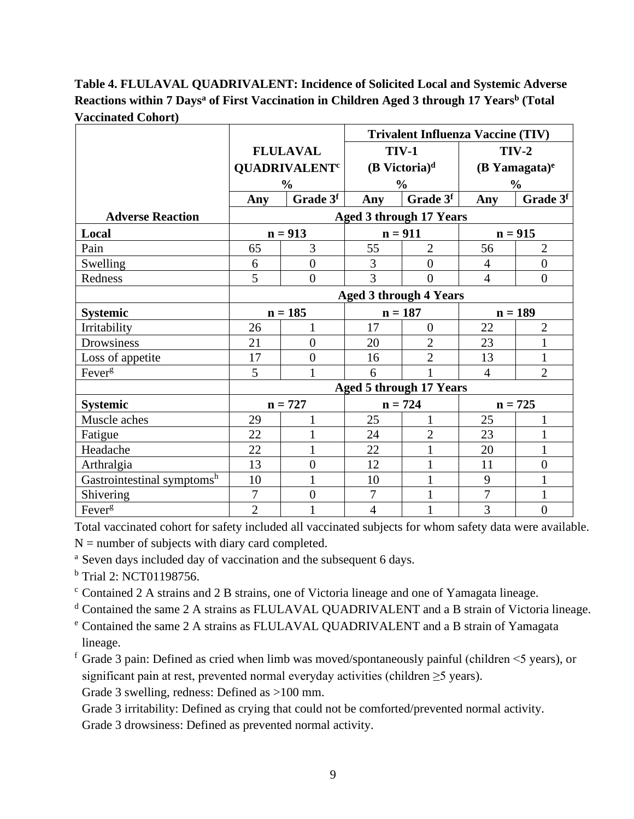# **Table 4. FLULAVAL QUADRIVALENT: Incidence of Solicited Local and Systemic Adverse Reactions within 7 Daysa of First Vaccination in Children Aged 3 through 17 Yearsb (Total Vaccinated Cohort)**

|                            |                               |                                 | <b>Trivalent Influenza Vaccine (TIV)</b> |                                |                             |                |
|----------------------------|-------------------------------|---------------------------------|------------------------------------------|--------------------------------|-----------------------------|----------------|
|                            | <b>FLULAVAL</b>               |                                 | <b>TIV-1</b>                             |                                |                             | $TIV-2$        |
|                            |                               | <b>QUADRIVALENT<sup>c</sup></b> | $(B$ Victoria) <sup>d</sup>              |                                | $(B$ Yamagata) <sup>e</sup> |                |
|                            |                               | $\frac{6}{6}$                   |                                          | $\frac{6}{6}$                  | $\frac{6}{6}$               |                |
|                            | Any                           | Grade 3f                        | Any                                      | Grade 3f                       | Any                         | Grade 3f       |
| <b>Adverse Reaction</b>    |                               |                                 |                                          | <b>Aged 3 through 17 Years</b> |                             |                |
| Local                      |                               | $n = 913$                       |                                          | $n = 911$                      | $n = 915$                   |                |
| Pain                       | 65                            | 3                               | 55                                       | $\overline{2}$                 | 56                          | $\overline{2}$ |
| Swelling                   | 6                             | $\overline{0}$                  | 3                                        | $\overline{0}$                 | $\overline{4}$              | $\overline{0}$ |
| Redness                    | 5                             | $\overline{0}$                  | 3                                        | $\theta$                       | $\overline{4}$              | $\overline{0}$ |
|                            | <b>Aged 3 through 4 Years</b> |                                 |                                          |                                |                             |                |
| <b>Systemic</b>            |                               | $n = 185$                       | $n = 187$                                |                                | $n = 189$                   |                |
| Irritability               | 26                            |                                 | 17                                       | $\theta$                       | 22                          | $\overline{2}$ |
| Drowsiness                 | 21                            | $\overline{0}$                  | 20                                       | $\overline{2}$                 | 23                          | $\mathbf{1}$   |
| Loss of appetite           | 17                            | $\overline{0}$                  | 16                                       | $\overline{2}$                 | 13                          | $\mathbf{1}$   |
| Fever <sup>g</sup>         | 5                             |                                 | 6                                        |                                | $\overline{4}$              | $\overline{2}$ |
|                            |                               |                                 |                                          | <b>Aged 5 through 17 Years</b> |                             |                |
| <b>Systemic</b>            |                               | $n = 727$                       | $n = 724$                                |                                | $n = 725$                   |                |
| Muscle aches               | 29                            |                                 | 25                                       | 1                              | 25                          | $\mathbf{1}$   |
| Fatigue                    | 22                            |                                 | 24                                       | $\overline{2}$                 | 23                          | $\mathbf{1}$   |
| Headache                   | 22                            |                                 | 22                                       | 1                              | 20                          | $\mathbf{1}$   |
| Arthralgia                 | 13                            | $\overline{0}$                  | 12                                       |                                | 11                          | $\overline{0}$ |
| Gastrointestinal symptomsh | 10                            |                                 | 10                                       |                                | 9                           | $\mathbf{1}$   |
| Shivering                  | $\overline{7}$                | $\overline{0}$                  | $\overline{7}$                           |                                | $\overline{7}$              | $\mathbf{1}$   |
| Fever <sup>g</sup>         | $\overline{2}$                |                                 | $\overline{4}$                           |                                | 3                           | $\overline{0}$ |

Total vaccinated cohort for safety included all vaccinated subjects for whom safety data were available.

- $N =$  number of subjects with diary card completed.
- <sup>a</sup> Seven days included day of vaccination and the subsequent 6 days.
- <sup>b</sup> Trial 2: NCT01198756.
- <sup>c</sup> Contained 2 A strains and 2 B strains, one of Victoria lineage and one of Yamagata lineage.
- <sup>d</sup> Contained the same 2 A strains as FLULAVAL QUADRIVALENT and a B strain of Victoria lineage.
- <sup>e</sup> Contained the same 2 A strains as FLULAVAL QUADRIVALENT and a B strain of Yamagata lineage.
- f Grade 3 pain: Defined as cried when limb was moved/spontaneously painful (children  $\leq$ 5 years), or significant pain at rest, prevented normal everyday activities (children  $\geq$ 5 years).
	- Grade 3 swelling, redness: Defined as >100 mm.

Grade 3 irritability: Defined as crying that could not be comforted/prevented normal activity.

Grade 3 drowsiness: Defined as prevented normal activity.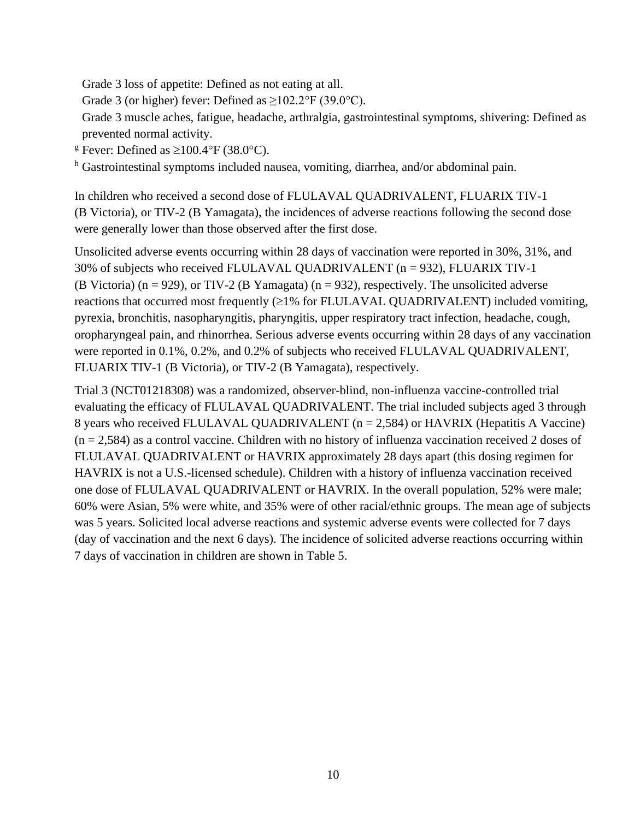Grade 3 loss of appetite: Defined as not eating at all.

Grade 3 (or higher) fever: Defined as  $\geq 102.2^{\circ}$  F (39.0°C).

Grade 3 muscle aches, fatigue, headache, arthralgia, gastrointestinal symptoms, shivering: Defined as prevented normal activity.

<sup>g</sup> Fever: Defined as  $\geq 100.4$ °F (38.0°C).

<sup>h</sup> Gastrointestinal symptoms included nausea, vomiting, diarrhea, and/or abdominal pain.

In children who received a second dose of FLULAVAL QUADRIVALENT, FLUARIX TIV-1 (B Victoria), or TIV-2 (B Yamagata), the incidences of adverse reactions following the second dose were generally lower than those observed after the first dose.

Unsolicited adverse events occurring within 28 days of vaccination were reported in 30%, 31%, and 30% of subjects who received FLULAVAL QUADRIVALENT (n = 932), FLUARIX TIV-1 (B Victoria) ( $n = 929$ ), or TIV-2 (B Yamagata) ( $n = 932$ ), respectively. The unsolicited adverse reactions that occurred most frequently (≥1% for FLULAVAL QUADRIVALENT) included vomiting, pyrexia, bronchitis, nasopharyngitis, pharyngitis, upper respiratory tract infection, headache, cough, oropharyngeal pain, and rhinorrhea. Serious adverse events occurring within 28 days of any vaccination were reported in 0.1%, 0.2%, and 0.2% of subjects who received FLULAVAL QUADRIVALENT, FLUARIX TIV-1 (B Victoria), or TIV-2 (B Yamagata), respectively.

Trial 3 (NCT01218308) was a randomized, observer-blind, non-influenza vaccine-controlled trial evaluating the efficacy of FLULAVAL QUADRIVALENT. The trial included subjects aged 3 through 8 years who received FLULAVAL QUADRIVALENT (n = 2,584) or HAVRIX (Hepatitis A Vaccine)  $(n = 2,584)$  as a control vaccine. Children with no history of influenza vaccination received 2 doses of FLULAVAL QUADRIVALENT or HAVRIX approximately 28 days apart (this dosing regimen for HAVRIX is not a U.S.-licensed schedule). Children with a history of influenza vaccination received one dose of FLULAVAL QUADRIVALENT or HAVRIX. In the overall population, 52% were male; 60% were Asian, 5% were white, and 35% were of other racial/ethnic groups. The mean age of subjects was 5 years. Solicited local adverse reactions and systemic adverse events were collected for 7 days (day of vaccination and the next 6 days). The incidence of solicited adverse reactions occurring within 7 days of vaccination in children are shown in Table 5.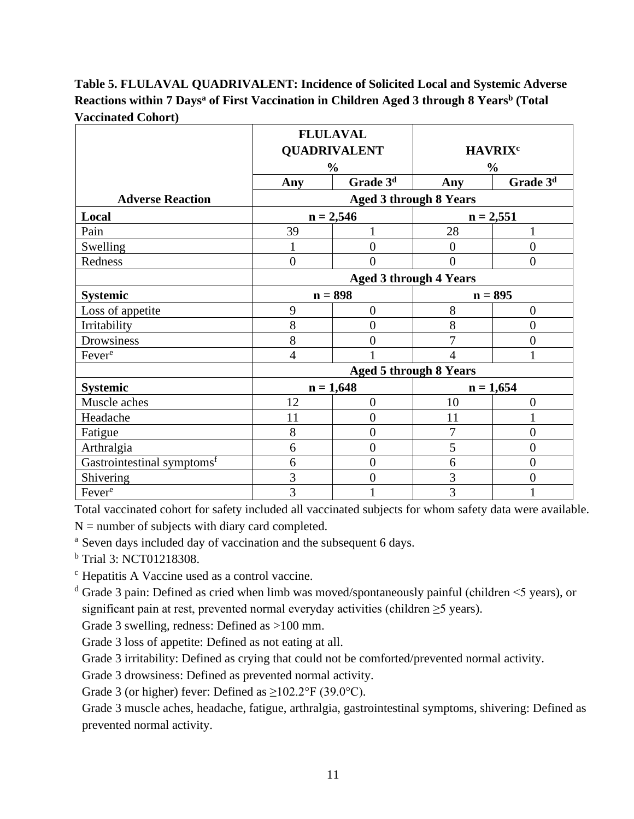# **Table 5. FLULAVAL QUADRIVALENT: Incidence of Solicited Local and Systemic Adverse Reactions within 7 Daysa of First Vaccination in Children Aged 3 through 8 Yearsb (Total Vaccinated Cohort)**

|                                        |                     | <b>FLULAVAL</b>      |                               |                      |
|----------------------------------------|---------------------|----------------------|-------------------------------|----------------------|
|                                        | <b>QUADRIVALENT</b> |                      | <b>HAVRIX<sup>c</sup></b>     |                      |
|                                        |                     | $\frac{0}{0}$        |                               | $\frac{0}{0}$        |
|                                        | Any                 | Grade 3 <sup>d</sup> | Any                           | Grade 3 <sup>d</sup> |
| <b>Adverse Reaction</b>                |                     |                      | <b>Aged 3 through 8 Years</b> |                      |
| Local                                  |                     | $n = 2,546$          | $n = 2,551$                   |                      |
| Pain                                   | 39                  |                      | 28                            |                      |
| Swelling                               | 1                   | $\overline{0}$       | $\theta$                      | $\overline{0}$       |
| Redness                                | $\overline{0}$      | $\overline{0}$       | $\theta$                      | $\overline{0}$       |
|                                        |                     |                      | <b>Aged 3 through 4 Years</b> |                      |
| <b>Systemic</b>                        |                     | $n = 898$            | $n = 895$                     |                      |
| Loss of appetite                       | 9                   | $\overline{0}$       | 8                             | $\overline{0}$       |
| Irritability                           | 8                   | $\overline{0}$       | 8                             | $\overline{0}$       |
| Drowsiness                             | 8                   | $\overline{0}$       | 7                             | $\overline{0}$       |
| Fever <sup>e</sup>                     | $\overline{4}$      |                      | 4                             |                      |
|                                        |                     |                      | <b>Aged 5 through 8 Years</b> |                      |
| <b>Systemic</b>                        |                     | $n = 1,648$          |                               | $n = 1,654$          |
| Muscle aches                           | 12                  | $\boldsymbol{0}$     | 10                            | $\overline{0}$       |
| Headache                               | 11                  | $\overline{0}$       | 11                            |                      |
| Fatigue                                | 8                   | $\overline{0}$       | $\overline{7}$                | $\overline{0}$       |
| Arthralgia                             | 6                   | $\overline{0}$       | 5                             | $\overline{0}$       |
| Gastrointestinal symptoms <sup>f</sup> | 6                   | $\overline{0}$       | 6                             | $\overline{0}$       |
| Shivering                              | 3                   | $\overline{0}$       | 3                             | $\overline{0}$       |
| Fever <sup>e</sup>                     | 3                   | 1                    | 3                             |                      |

Total vaccinated cohort for safety included all vaccinated subjects for whom safety data were available.

 $N =$  number of subjects with diary card completed.

<sup>a</sup> Seven days included day of vaccination and the subsequent 6 days.

<sup>b</sup> Trial 3: NCT01218308.

<sup>c</sup> Hepatitis A Vaccine used as a control vaccine.

 $d$  Grade 3 pain: Defined as cried when limb was moved/spontaneously painful (children  $\leq$ 5 years), or significant pain at rest, prevented normal everyday activities (children  $\geq$ 5 years).

Grade 3 swelling, redness: Defined as >100 mm.

Grade 3 loss of appetite: Defined as not eating at all.

Grade 3 irritability: Defined as crying that could not be comforted/prevented normal activity.

Grade 3 drowsiness: Defined as prevented normal activity.

Grade 3 (or higher) fever: Defined as  $\geq 102.2^{\circ}$  F (39.0°C).

Grade 3 muscle aches, headache, fatigue, arthralgia, gastrointestinal symptoms, shivering: Defined as prevented normal activity.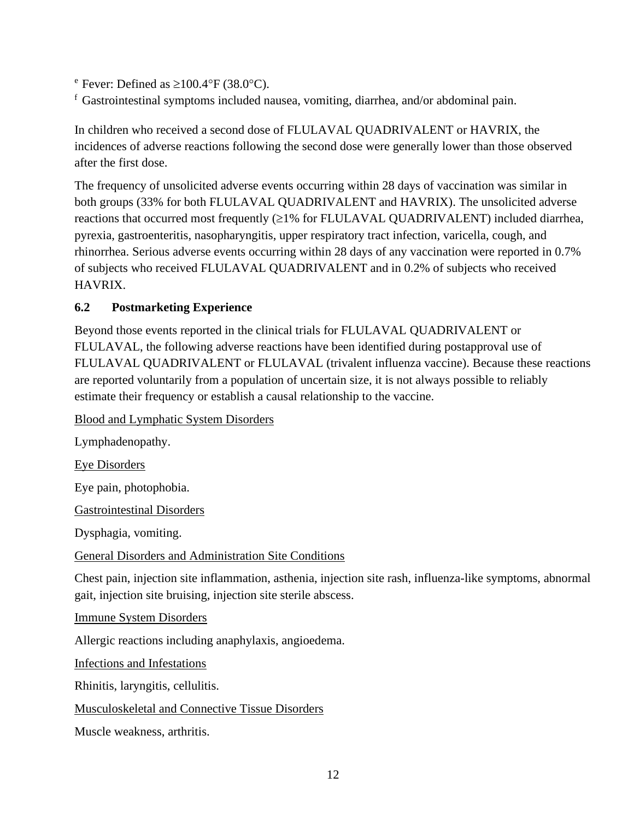<sup>e</sup> Fever: Defined as  $\geq 100.4$ °F (38.0°C).

 $f$  Gastrointestinal symptoms included nausea, vomiting, diarrhea, and/or abdominal pain.

In children who received a second dose of FLULAVAL QUADRIVALENT or HAVRIX, the incidences of adverse reactions following the second dose were generally lower than those observed after the first dose.

The frequency of unsolicited adverse events occurring within 28 days of vaccination was similar in both groups (33% for both FLULAVAL QUADRIVALENT and HAVRIX). The unsolicited adverse reactions that occurred most frequently  $(\geq 1\%$  for FLULAVAL QUADRIVALENT) included diarrhea, pyrexia, gastroenteritis, nasopharyngitis, upper respiratory tract infection, varicella, cough, and rhinorrhea. Serious adverse events occurring within 28 days of any vaccination were reported in 0.7% of subjects who received FLULAVAL QUADRIVALENT and in 0.2% of subjects who received HAVRIX.

# <span id="page-11-0"></span>**6.2 Postmarketing Experience**

Beyond those events reported in the clinical trials for FLULAVAL QUADRIVALENT or FLULAVAL, the following adverse reactions have been identified during postapproval use of FLULAVAL QUADRIVALENT or FLULAVAL (trivalent influenza vaccine). Because these reactions are reported voluntarily from a population of uncertain size, it is not always possible to reliably estimate their frequency or establish a causal relationship to the vaccine.

Blood and Lymphatic System Disorders

Lymphadenopathy.

Eye Disorders

Eye pain, photophobia.

Gastrointestinal Disorders

Dysphagia, vomiting.

General Disorders and Administration Site Conditions

Chest pain, injection site inflammation, asthenia, injection site rash, influenza-like symptoms, abnormal gait, injection site bruising, injection site sterile abscess.

Immune System Disorders

Allergic reactions including anaphylaxis, angioedema.

Infections and Infestations

Rhinitis, laryngitis, cellulitis.

Musculoskeletal and Connective Tissue Disorders

Muscle weakness, arthritis.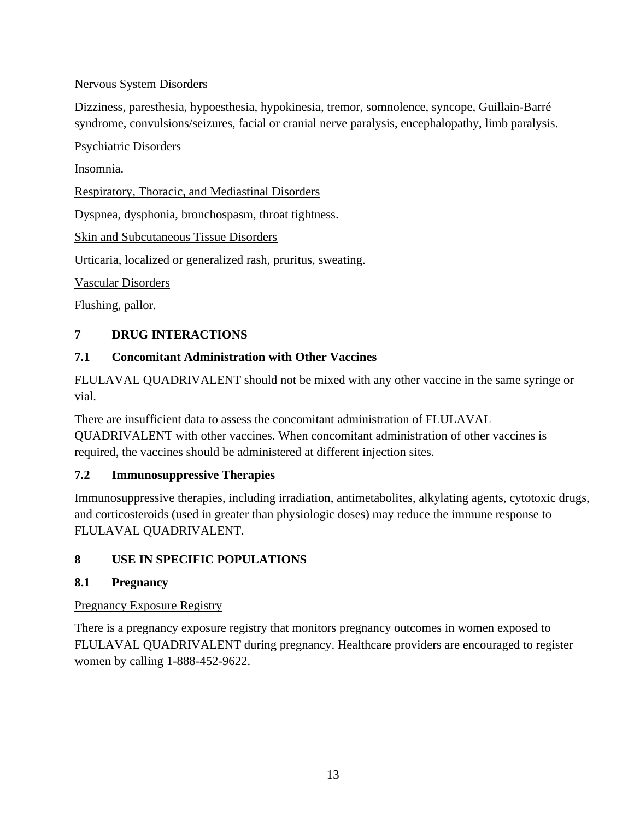## Nervous System Disorders

Dizziness, paresthesia, hypoesthesia, hypokinesia, tremor, somnolence, syncope, Guillain-Barré syndrome, convulsions/seizures, facial or cranial nerve paralysis, encephalopathy, limb paralysis.

### Psychiatric Disorders

Insomnia.

Respiratory, Thoracic, and Mediastinal Disorders

Dyspnea, dysphonia, bronchospasm, throat tightness.

Skin and Subcutaneous Tissue Disorders

Urticaria, localized or generalized rash, pruritus, sweating.

Vascular Disorders

<span id="page-12-0"></span>Flushing, pallor.

# **7 DRUG INTERACTIONS**

## <span id="page-12-1"></span>**7.1 Concomitant Administration with Other Vaccines**

FLULAVAL QUADRIVALENT should not be mixed with any other vaccine in the same syringe or vial.

There are insufficient data to assess the concomitant administration of FLULAVAL QUADRIVALENT with other vaccines. When concomitant administration of other vaccines is required, the vaccines should be administered at different injection sites.

### <span id="page-12-2"></span>**7.2 Immunosuppressive Therapies**

Immunosuppressive therapies, including irradiation, antimetabolites, alkylating agents, cytotoxic drugs, and corticosteroids (used in greater than physiologic doses) may reduce the immune response to FLULAVAL QUADRIVALENT.

## <span id="page-12-3"></span>**8 USE IN SPECIFIC POPULATIONS**

### <span id="page-12-4"></span>**8.1 Pregnancy**

## Pregnancy Exposure Registry

There is a pregnancy exposure registry that monitors pregnancy outcomes in women exposed to FLULAVAL QUADRIVALENT during pregnancy. Healthcare providers are encouraged to register women by calling 1-888-452-9622.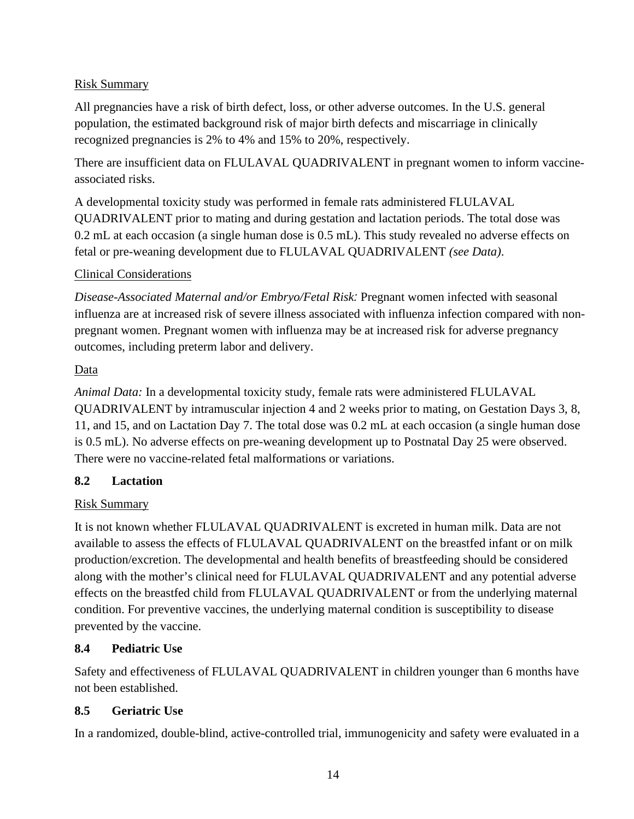## Risk Summary

All pregnancies have a risk of birth defect, loss, or other adverse outcomes. In the U.S. general population, the estimated background risk of major birth defects and miscarriage in clinically recognized pregnancies is 2% to 4% and 15% to 20%, respectively.

There are insufficient data on FLULAVAL QUADRIVALENT in pregnant women to inform vaccineassociated risks.

A developmental toxicity study was performed in female rats administered FLULAVAL QUADRIVALENT prior to mating and during gestation and lactation periods. The total dose was 0.2 mL at each occasion (a single human dose is 0.5 mL). This study revealed no adverse effects on fetal or pre-weaning development due to FLULAVAL QUADRIVALENT *(see Data)*.

### Clinical Considerations

*Disease-Associated Maternal and/or Embryo/Fetal Risk:* Pregnant women infected with seasonal influenza are at increased risk of severe illness associated with influenza infection compared with nonpregnant women. Pregnant women with influenza may be at increased risk for adverse pregnancy outcomes, including preterm labor and delivery.

### Data

*Animal Data:* In a developmental toxicity study, female rats were administered FLULAVAL QUADRIVALENT by intramuscular injection 4 and 2 weeks prior to mating, on Gestation Days 3, 8, 11, and 15, and on Lactation Day 7. The total dose was 0.2 mL at each occasion (a single human dose is 0.5 mL). No adverse effects on pre-weaning development up to Postnatal Day 25 were observed. There were no vaccine-related fetal malformations or variations.

## <span id="page-13-0"></span>**8.2 Lactation**

## Risk Summary

It is not known whether FLULAVAL QUADRIVALENT is excreted in human milk. Data are not available to assess the effects of FLULAVAL QUADRIVALENT on the breastfed infant or on milk production/excretion. The developmental and health benefits of breastfeeding should be considered along with the mother's clinical need for FLULAVAL QUADRIVALENT and any potential adverse effects on the breastfed child from FLULAVAL QUADRIVALENT or from the underlying maternal condition. For preventive vaccines, the underlying maternal condition is susceptibility to disease prevented by the vaccine.

## <span id="page-13-1"></span>**8.4 Pediatric Use**

Safety and effectiveness of FLULAVAL QUADRIVALENT in children younger than 6 months have not been established.

## <span id="page-13-2"></span>**8.5 Geriatric Use**

In a randomized, double-blind, active-controlled trial, immunogenicity and safety were evaluated in a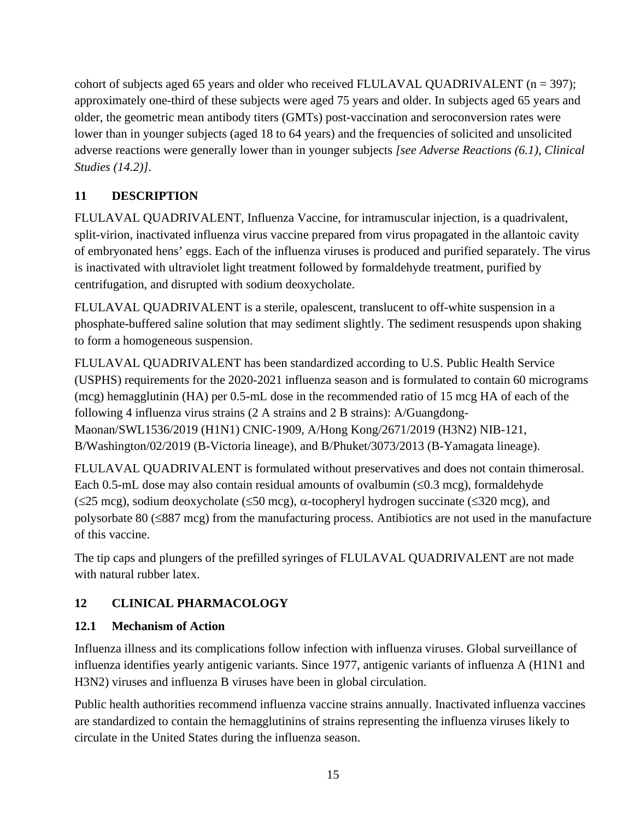cohort of subjects aged 65 years and older who received FLULAVAL QUADRIVALENT  $(n = 397)$ ; approximately one-third of these subjects were aged 75 years and older. In subjects aged 65 years and older, the geometric mean antibody titers (GMTs) post-vaccination and seroconversion rates were lower than in younger subjects (aged 18 to 64 years) and the frequencies of solicited and unsolicited adverse reactions were generally lower than in younger subjects *[see Adverse Reactions (6.1), Clinical Studies (14.2)]*.

# <span id="page-14-0"></span>**11 DESCRIPTION**

FLULAVAL QUADRIVALENT, Influenza Vaccine, for intramuscular injection, is a quadrivalent, split-virion, inactivated influenza virus vaccine prepared from virus propagated in the allantoic cavity of embryonated hens' eggs. Each of the influenza viruses is produced and purified separately. The virus is inactivated with ultraviolet light treatment followed by formaldehyde treatment, purified by centrifugation, and disrupted with sodium deoxycholate.

FLULAVAL QUADRIVALENT is a sterile, opalescent, translucent to off-white suspension in a phosphate-buffered saline solution that may sediment slightly. The sediment resuspends upon shaking to form a homogeneous suspension.

FLULAVAL QUADRIVALENT has been standardized according to U.S. Public Health Service (USPHS) requirements for the 2020-2021 influenza season and is formulated to contain 60 micrograms (mcg) hemagglutinin (HA) per 0.5-mL dose in the recommended ratio of 15 mcg HA of each of the following 4 influenza virus strains (2 A strains and 2 B strains): A/Guangdong-Maonan/SWL1536/2019 (H1N1) CNIC-1909, A/Hong Kong/2671/2019 (H3N2) NIB-121, B/Washington/02/2019 (B-Victoria lineage), and B/Phuket/3073/2013 (B-Yamagata lineage).

FLULAVAL QUADRIVALENT is formulated without preservatives and does not contain thimerosal. Each 0.5-mL dose may also contain residual amounts of ovalbumin  $(\leq 0.3 \text{ m})$ , formaldehyde  $(\leq 25 \text{ meg})$ , sodium deoxycholate ( $\leq 50 \text{ meg}$ ),  $\alpha$ -tocopheryl hydrogen succinate ( $\leq 320 \text{ meg}$ ), and polysorbate 80 (≤887 mcg) from the manufacturing process. Antibiotics are not used in the manufacture of this vaccine.

The tip caps and plungers of the prefilled syringes of FLULAVAL QUADRIVALENT are not made with natural rubber latex.

# <span id="page-14-1"></span>**12 CLINICAL PHARMACOLOGY**

## <span id="page-14-2"></span>**12.1 Mechanism of Action**

Influenza illness and its complications follow infection with influenza viruses. Global surveillance of influenza identifies yearly antigenic variants. Since 1977, antigenic variants of influenza A (H1N1 and H3N2) viruses and influenza B viruses have been in global circulation.

Public health authorities recommend influenza vaccine strains annually. Inactivated influenza vaccines are standardized to contain the hemagglutinins of strains representing the influenza viruses likely to circulate in the United States during the influenza season.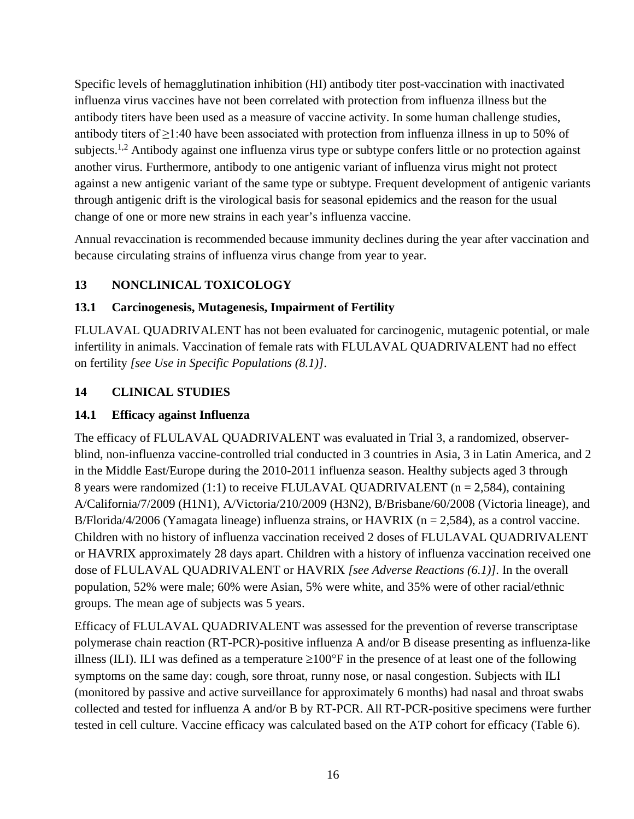Specific levels of hemagglutination inhibition (HI) antibody titer post-vaccination with inactivated influenza virus vaccines have not been correlated with protection from influenza illness but the antibody titers have been used as a measure of vaccine activity. In some human challenge studies, antibody titers of ≥1:40 have been associated with protection from influenza illness in up to 50% of subjects.<sup>1,2</sup> Antibody against one influenza virus type or subtype confers little or no protection against another virus. Furthermore, antibody to one antigenic variant of influenza virus might not protect against a new antigenic variant of the same type or subtype. Frequent development of antigenic variants through antigenic drift is the virological basis for seasonal epidemics and the reason for the usual change of one or more new strains in each year's influenza vaccine.

Annual revaccination is recommended because immunity declines during the year after vaccination and because circulating strains of influenza virus change from year to year.

# <span id="page-15-0"></span>**13 NONCLINICAL TOXICOLOGY**

### <span id="page-15-1"></span>**13.1 Carcinogenesis, Mutagenesis, Impairment of Fertility**

FLULAVAL QUADRIVALENT has not been evaluated for carcinogenic, mutagenic potential, or male infertility in animals. Vaccination of female rats with FLULAVAL QUADRIVALENT had no effect on fertility *[see Use in Specific Populations (8.1)]*.

### <span id="page-15-2"></span>**14 CLINICAL STUDIES**

### <span id="page-15-3"></span>**14.1 Efficacy against Influenza**

The efficacy of FLULAVAL QUADRIVALENT was evaluated in Trial 3, a randomized, observerblind, non-influenza vaccine-controlled trial conducted in 3 countries in Asia, 3 in Latin America, and 2 in the Middle East/Europe during the 2010-2011 influenza season. Healthy subjects aged 3 through 8 years were randomized  $(1:1)$  to receive FLULAVAL QUADRIVALENT  $(n = 2.584)$ , containing A/California/7/2009 (H1N1), A/Victoria/210/2009 (H3N2), B/Brisbane/60/2008 (Victoria lineage), and B/Florida/4/2006 (Yamagata lineage) influenza strains, or HAVRIX ( $n = 2,584$ ), as a control vaccine. Children with no history of influenza vaccination received 2 doses of FLULAVAL QUADRIVALENT or HAVRIX approximately 28 days apart. Children with a history of influenza vaccination received one dose of FLULAVAL QUADRIVALENT or HAVRIX *[see Adverse Reactions (6.1)]*. In the overall population, 52% were male; 60% were Asian, 5% were white, and 35% were of other racial/ethnic groups. The mean age of subjects was 5 years.

Efficacy of FLULAVAL QUADRIVALENT was assessed for the prevention of reverse transcriptase polymerase chain reaction (RT-PCR)-positive influenza A and/or B disease presenting as influenza-like illness (ILI). ILI was defined as a temperature  $\geq 100^{\circ}$ F in the presence of at least one of the following symptoms on the same day: cough, sore throat, runny nose, or nasal congestion. Subjects with ILI (monitored by passive and active surveillance for approximately 6 months) had nasal and throat swabs collected and tested for influenza A and/or B by RT-PCR. All RT-PCR-positive specimens were further tested in cell culture. Vaccine efficacy was calculated based on the ATP cohort for efficacy (Table 6).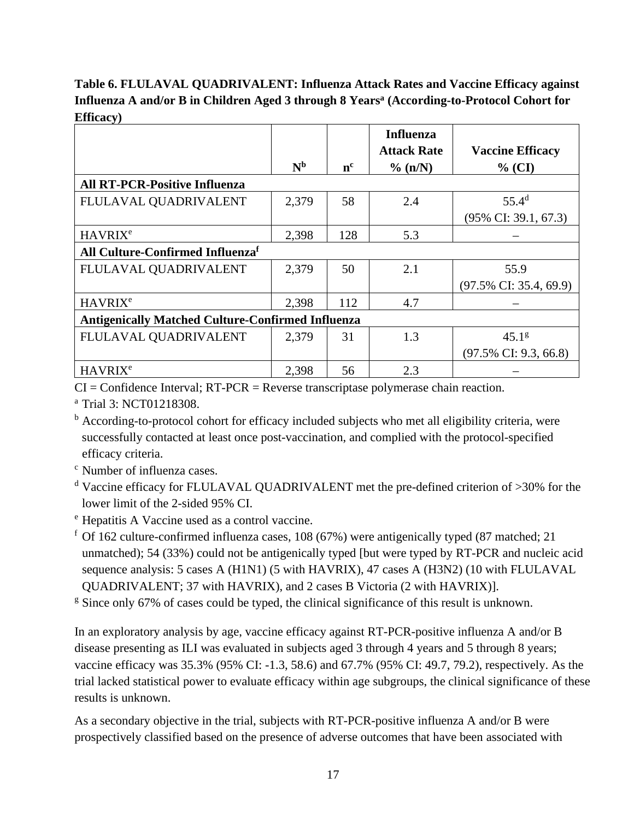# **Table 6. FLULAVAL QUADRIVALENT: Influenza Attack Rates and Vaccine Efficacy against Influenza A and/or B in Children Aged 3 through 8 Yearsa (According-to-Protocol Cohort for Efficacy)**

|                                      |                                                          |                | <b>Influenza</b><br><b>Attack Rate</b> | <b>Vaccine Efficacy</b>            |  |  |
|--------------------------------------|----------------------------------------------------------|----------------|----------------------------------------|------------------------------------|--|--|
|                                      | N <sub>b</sub>                                           | n <sup>c</sup> | % (n/N)                                | $%$ (CI)                           |  |  |
| <b>All RT-PCR-Positive Influenza</b> |                                                          |                |                                        |                                    |  |  |
| FLULAVAL QUADRIVALENT                | 2,379                                                    | 58             | 2.4                                    | $55.4^d$                           |  |  |
|                                      |                                                          |                |                                        | $(95\% \text{ CI: } 39.1, 67.3)$   |  |  |
| <b>HAVRIX<sup>e</sup></b>            | 2,398                                                    | 128            | 5.3                                    |                                    |  |  |
| All Culture-Confirmed Influenzaf     |                                                          |                |                                        |                                    |  |  |
| FLULAVAL QUADRIVALENT                | 2,379                                                    | 50             | 2.1                                    | 55.9                               |  |  |
|                                      |                                                          |                |                                        | $(97.5\% \text{ CI: } 35.4, 69.9)$ |  |  |
| <b>HAVRIX<sup>e</sup></b>            | 2,398                                                    | 112            | 4.7                                    |                                    |  |  |
|                                      | <b>Antigenically Matched Culture-Confirmed Influenza</b> |                |                                        |                                    |  |  |
| FLULAVAL QUADRIVALENT                | 2,379                                                    | 31             | 1.3                                    | 45.1 <sup>g</sup>                  |  |  |
|                                      |                                                          |                |                                        | $(97.5\% \text{ CI: } 9.3, 66.8)$  |  |  |
| <b>HAVRIX<sup>e</sup></b>            | 2,398                                                    | 56             | 2.3                                    |                                    |  |  |

 $CI =$ Confidence Interval;  $RT-PCR =$  Reverse transcriptase polymerase chain reaction.

<sup>a</sup> Trial 3: NCT01218308.

<sup>b</sup> According-to-protocol cohort for efficacy included subjects who met all eligibility criteria, were successfully contacted at least once post-vaccination, and complied with the protocol-specified efficacy criteria.

<sup>c</sup> Number of influenza cases.

<sup>d</sup> Vaccine efficacy for FLULAVAL QUADRIVALENT met the pre-defined criterion of >30% for the lower limit of the 2-sided 95% CI.

<sup>e</sup> Hepatitis A Vaccine used as a control vaccine.

 $f$  Of 162 culture-confirmed influenza cases, 108 (67%) were antigenically typed (87 matched; 21 unmatched); 54 (33%) could not be antigenically typed [but were typed by RT-PCR and nucleic acid sequence analysis: 5 cases A (H1N1) (5 with HAVRIX), 47 cases A (H3N2) (10 with FLULAVAL QUADRIVALENT; 37 with HAVRIX), and 2 cases B Victoria (2 with HAVRIX)].

<sup>g</sup> Since only 67% of cases could be typed, the clinical significance of this result is unknown.

In an exploratory analysis by age, vaccine efficacy against RT-PCR-positive influenza A and/or B disease presenting as ILI was evaluated in subjects aged 3 through 4 years and 5 through 8 years; vaccine efficacy was 35.3% (95% CI: -1.3, 58.6) and 67.7% (95% CI: 49.7, 79.2), respectively. As the trial lacked statistical power to evaluate efficacy within age subgroups, the clinical significance of these results is unknown.

As a secondary objective in the trial, subjects with RT-PCR-positive influenza A and/or B were prospectively classified based on the presence of adverse outcomes that have been associated with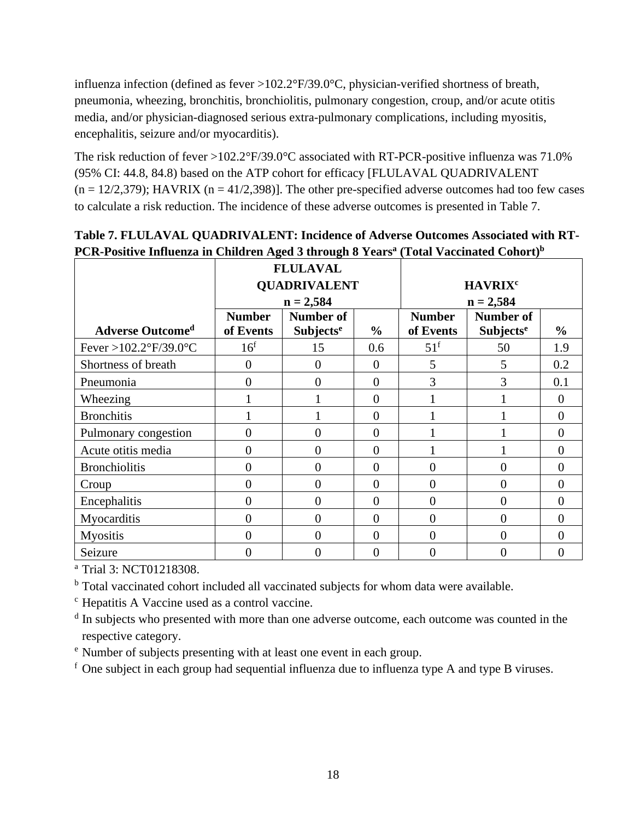influenza infection (defined as fever >102.2°F/39.0°C, physician-verified shortness of breath, pneumonia, wheezing, bronchitis, bronchiolitis, pulmonary congestion, croup, and/or acute otitis media, and/or physician-diagnosed serious extra-pulmonary complications, including myositis, encephalitis, seizure and/or myocarditis).

The risk reduction of fever >102.2°F/39.0°C associated with RT-PCR-positive influenza was 71.0% (95% CI: 44.8, 84.8) based on the ATP cohort for efficacy [FLULAVAL QUADRIVALENT  $(n = 12/2,379)$ ; HAVRIX  $(n = 41/2,398)$ ]. The other pre-specified adverse outcomes had too few cases to calculate a risk reduction. The incidence of these adverse outcomes is presented in Table 7.

|                                           |                     | <b>FLULAVAL</b>             |                |                           |                             |                |  |
|-------------------------------------------|---------------------|-----------------------------|----------------|---------------------------|-----------------------------|----------------|--|
|                                           | <b>QUADRIVALENT</b> |                             |                | <b>HAVRIX<sup>c</sup></b> |                             |                |  |
|                                           |                     | $n = 2,584$                 |                |                           | $n = 2,584$                 |                |  |
|                                           | <b>Number</b>       | Number of                   |                | <b>Number</b>             | <b>Number of</b>            |                |  |
| <b>Adverse Outcomed</b>                   | of Events           | <b>Subjects<sup>e</sup></b> | $\frac{0}{0}$  | of Events                 | <b>Subjects<sup>e</sup></b> | $\frac{0}{0}$  |  |
| Fever >102.2 $\degree$ F/39.0 $\degree$ C | 16 <sup>f</sup>     | 15                          | 0.6            | 51 <sup>f</sup>           | 50                          | 1.9            |  |
| Shortness of breath                       | $\Omega$            | $\Omega$                    | $\theta$       | 5                         | 5                           | 0.2            |  |
| Pneumonia                                 | $\theta$            | $\overline{0}$              | $\overline{0}$ | 3                         | 3                           | 0.1            |  |
| Wheezing                                  |                     |                             | $\overline{0}$ |                           |                             | $\overline{0}$ |  |
| <b>Bronchitis</b>                         |                     |                             | $\overline{0}$ |                           |                             | $\theta$       |  |
| Pulmonary congestion                      | $\overline{0}$      | $\overline{0}$              | $\theta$       |                           |                             | $\theta$       |  |
| Acute otitis media                        | $\overline{0}$      | $\overline{0}$              | $\overline{0}$ |                           |                             | $\Omega$       |  |
| <b>Bronchiolitis</b>                      | $\overline{0}$      | $\overline{0}$              | $\overline{0}$ | $\overline{0}$            | $\theta$                    | $\theta$       |  |
| Croup                                     | $\overline{0}$      | $\overline{0}$              | $\overline{0}$ | $\overline{0}$            | $\overline{0}$              | $\theta$       |  |
| Encephalitis                              | $\Omega$            | $\Omega$                    | $\theta$       | $\theta$                  | $\theta$                    | $\Omega$       |  |
| Myocarditis                               | $\theta$            | $\theta$                    | $\theta$       | $\Omega$                  | $\theta$                    | $\Omega$       |  |
| <b>Myositis</b>                           | $\Omega$            | $\theta$                    | $\overline{0}$ | $\Omega$                  | 0                           | $\Omega$       |  |
| Seizure                                   | 0                   | 0                           | $\overline{0}$ |                           | 0                           | $\overline{0}$ |  |

# **Table 7. FLULAVAL QUADRIVALENT: Incidence of Adverse Outcomes Associated with RT-PCR-Positive Influenza in Children Aged 3 through 8 Yearsa (Total Vaccinated Cohort)b**

<sup>a</sup> Trial 3: NCT01218308.

<sup>b</sup> Total vaccinated cohort included all vaccinated subjects for whom data were available.

<sup>c</sup> Hepatitis A Vaccine used as a control vaccine.

<sup>d</sup> In subjects who presented with more than one adverse outcome, each outcome was counted in the respective category.

<sup>e</sup> Number of subjects presenting with at least one event in each group.

 $f$  One subject in each group had sequential influenza due to influenza type A and type B viruses.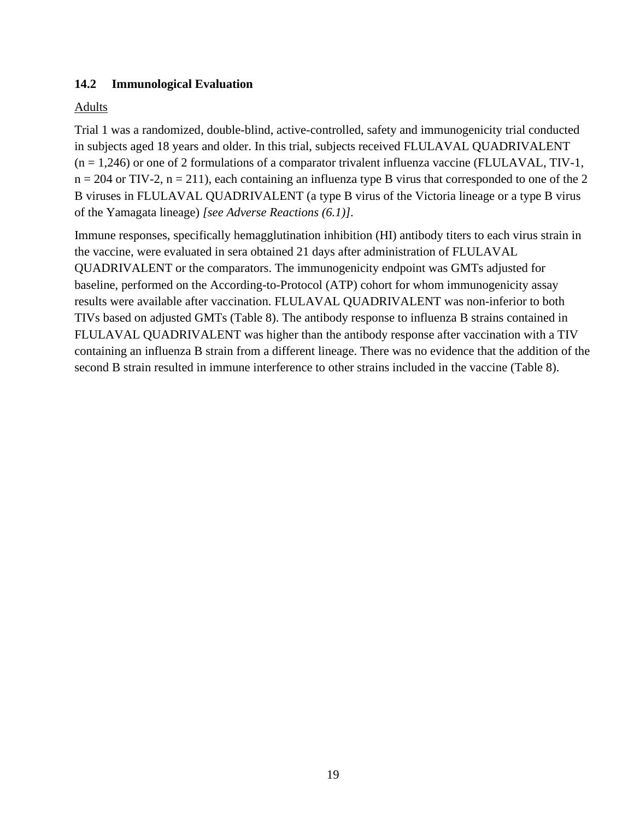### <span id="page-18-0"></span>**14.2 Immunological Evaluation**

### Adults

Trial 1 was a randomized, double-blind, active-controlled, safety and immunogenicity trial conducted in subjects aged 18 years and older. In this trial, subjects received FLULAVAL QUADRIVALENT  $(n = 1,246)$  or one of 2 formulations of a comparator trivalent influenza vaccine (FLULAVAL, TIV-1,  $n = 204$  or TIV-2,  $n = 211$ ), each containing an influenza type B virus that corresponded to one of the 2 B viruses in FLULAVAL QUADRIVALENT (a type B virus of the Victoria lineage or a type B virus of the Yamagata lineage) *[see Adverse Reactions (6.1)]*.

Immune responses, specifically hemagglutination inhibition (HI) antibody titers to each virus strain in the vaccine, were evaluated in sera obtained 21 days after administration of FLULAVAL QUADRIVALENT or the comparators. The immunogenicity endpoint was GMTs adjusted for baseline, performed on the According-to-Protocol (ATP) cohort for whom immunogenicity assay results were available after vaccination. FLULAVAL QUADRIVALENT was non-inferior to both TIVs based on adjusted GMTs (Table 8). The antibody response to influenza B strains contained in FLULAVAL QUADRIVALENT was higher than the antibody response after vaccination with a TIV containing an influenza B strain from a different lineage. There was no evidence that the addition of the second B strain resulted in immune interference to other strains included in the vaccine (Table 8).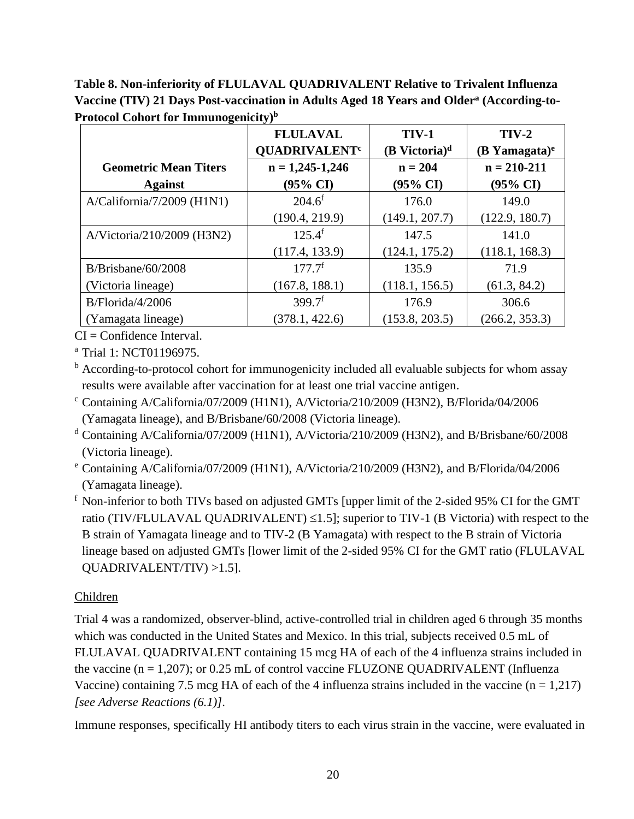**Table 8. Non-inferiority of FLULAVAL QUADRIVALENT Relative to Trivalent Influenza Vaccine (TIV) 21 Days Post-vaccination in Adults Aged 18 Years and Oldera (According-to-Protocol Cohort for Immunogenicity)b**

| - 0                          | $\sqrt{2}$<br><b>FLULAVAL</b><br><b>QUADRIVALENT<sup>c</sup></b> | <b>TIV-1</b><br>(B Victoria) $d$ | $TIV-2$<br>$(B$ Yamagata) <sup>e</sup> |
|------------------------------|------------------------------------------------------------------|----------------------------------|----------------------------------------|
| <b>Geometric Mean Titers</b> | $n = 1,245-1,246$                                                | $n = 204$                        | $n = 210 - 211$                        |
| <b>Against</b>               | (95% CI)                                                         | $(95\% \text{ CI})$              | $(95\% \text{ CI})$                    |
| $A/California/7/2009$ (H1N1) | $204.6^f$                                                        | 176.0                            | 149.0                                  |
|                              | (190.4, 219.9)                                                   | (149.1, 207.7)                   | (122.9, 180.7)                         |
| A/Victoria/210/2009 (H3N2)   | $125.4^{f}$                                                      | 147.5                            | 141.0                                  |
|                              | (117.4, 133.9)                                                   | (124.1, 175.2)                   | (118.1, 168.3)                         |
| $B/B$ risbane/60/2008        | $177.7^f$                                                        | 135.9                            | 71.9                                   |
| (Victoria lineage)           | (167.8, 188.1)                                                   | (118.1, 156.5)                   | (61.3, 84.2)                           |
| B/Florida/4/2006             | 399.7 <sup>f</sup>                                               | 176.9                            | 306.6                                  |
| (Yamagata lineage)           | (378.1, 422.6)                                                   | (153.8, 203.5)                   | (266.2, 353.3)                         |

 $CI = Confidence Interval$ .

<sup>a</sup> Trial 1: NCT01196975.

<sup>b</sup> According-to-protocol cohort for immunogenicity included all evaluable subjects for whom assay results were available after vaccination for at least one trial vaccine antigen.

- <sup>c</sup> Containing A/California/07/2009 (H1N1), A/Victoria/210/2009 (H3N2), B/Florida/04/2006 (Yamagata lineage), and B/Brisbane/60/2008 (Victoria lineage).
- <sup>d</sup> Containing A/California/07/2009 (H1N1), A/Victoria/210/2009 (H3N2), and B/Brisbane/60/2008 (Victoria lineage).
- <sup>e</sup> Containing A/California/07/2009 (H1N1), A/Victoria/210/2009 (H3N2), and B/Florida/04/2006 (Yamagata lineage).

<sup>f</sup> Non-inferior to both TIVs based on adjusted GMTs [upper limit of the 2-sided 95% CI for the GMT ratio (TIV/FLULAVAL QUADRIVALENT) ≤1.5]; superior to TIV-1 (B Victoria) with respect to the B strain of Yamagata lineage and to TIV-2 (B Yamagata) with respect to the B strain of Victoria lineage based on adjusted GMTs [lower limit of the 2-sided 95% CI for the GMT ratio (FLULAVAL QUADRIVALENT/TIV) >1.5].

# Children

Trial 4 was a randomized, observer-blind, active-controlled trial in children aged 6 through 35 months which was conducted in the United States and Mexico. In this trial, subjects received 0.5 mL of FLULAVAL QUADRIVALENT containing 15 mcg HA of each of the 4 influenza strains included in the vaccine  $(n = 1,207)$ ; or 0.25 mL of control vaccine FLUZONE QUADRIVALENT (Influenza Vaccine) containing 7.5 mcg HA of each of the 4 influenza strains included in the vaccine  $(n = 1,217)$ *[see Adverse Reactions (6.1)]*.

Immune responses, specifically HI antibody titers to each virus strain in the vaccine, were evaluated in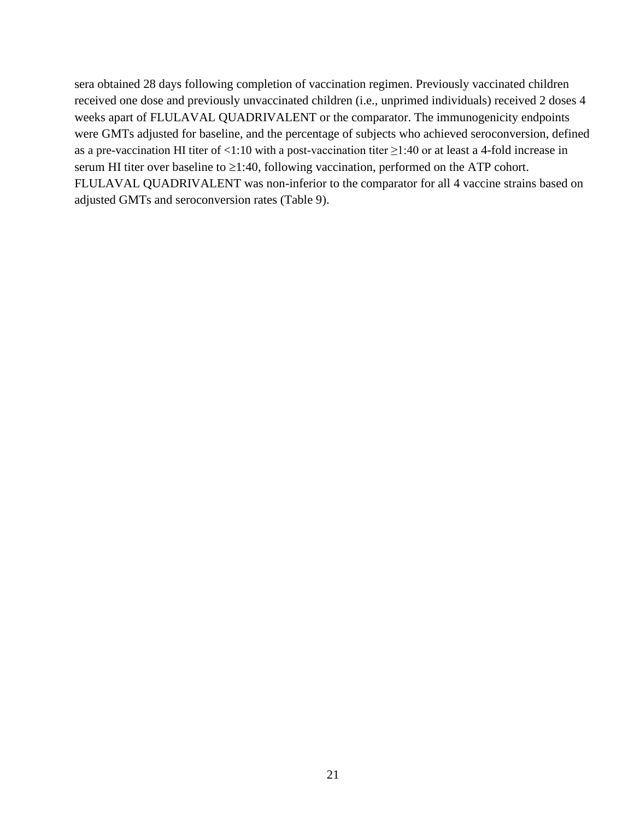sera obtained 28 days following completion of vaccination regimen. Previously vaccinated children received one dose and previously unvaccinated children (i.e., unprimed individuals) received 2 doses 4 weeks apart of FLULAVAL QUADRIVALENT or the comparator. The immunogenicity endpoints were GMTs adjusted for baseline, and the percentage of subjects who achieved seroconversion, defined as a pre-vaccination HI titer of <1:10 with a post-vaccination titer ≥1:40 or at least a 4-fold increase in serum HI titer over baseline to  $\geq$ 1:40, following vaccination, performed on the ATP cohort. FLULAVAL QUADRIVALENT was non-inferior to the comparator for all 4 vaccine strains based on adjusted GMTs and seroconversion rates (Table 9).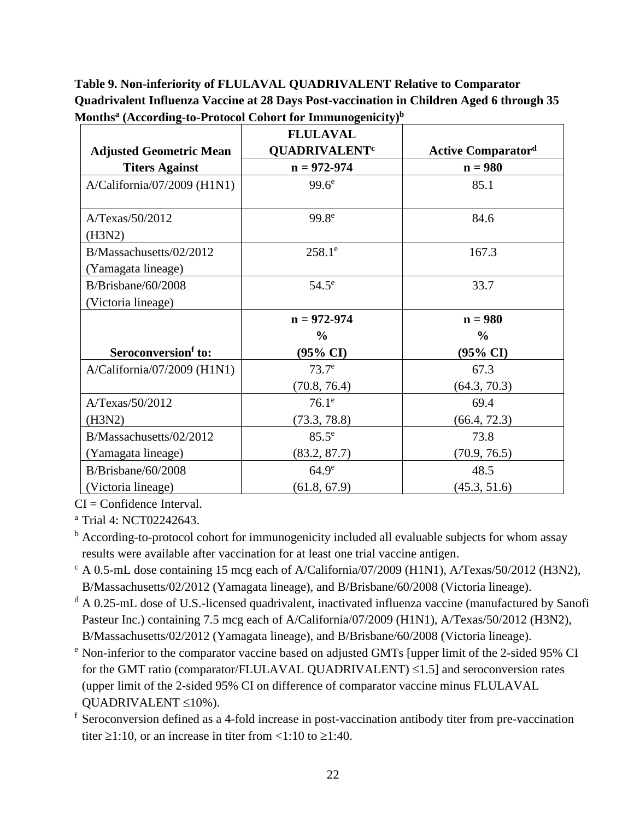**Table 9. Non-inferiority of FLULAVAL QUADRIVALENT Relative to Comparator Quadrivalent Influenza Vaccine at 28 Days Post-vaccination in Children Aged 6 through 35 Monthsa (According-to-Protocol Cohort for Immunogenicity)b**

|                                               | <b>FLULAVAL</b>                 |                           |
|-----------------------------------------------|---------------------------------|---------------------------|
| <b>Adjusted Geometric Mean</b>                | <b>QUADRIVALENT<sup>c</sup></b> | <b>Active Comparatord</b> |
| <b>Titers Against</b>                         | $n = 972 - 974$                 | $n = 980$                 |
| $A/California/07/2009$ (H1N1)                 | 99.6 <sup>e</sup>               | 85.1                      |
| A/Texas/50/2012<br>(H3N2)                     | 99.8 <sup>e</sup>               | 84.6                      |
| B/Massachusetts/02/2012<br>(Yamagata lineage) | $258.1^e$                       | 167.3                     |
| B/Brisbane/60/2008<br>(Victoria lineage)      | $54.5^{\circ}$                  | 33.7                      |
|                                               | $n = 972 - 974$                 | $n = 980$                 |
|                                               | $\frac{6}{6}$                   | $\frac{0}{0}$             |
| Seroconversion <sup>f</sup> to:               | (95% CI)                        | (95% CI)                  |
| $A/California/07/2009$ (H1N1)                 | 73.7 <sup>e</sup>               | 67.3                      |
|                                               | (70.8, 76.4)                    | (64.3, 70.3)              |
| A/Texas/50/2012                               | $76.1^e$                        | 69.4                      |
| (H3N2)                                        | (73.3, 78.8)                    | (66.4, 72.3)              |
| B/Massachusetts/02/2012                       | $85.5^e$                        | 73.8                      |
| (Yamagata lineage)                            | (83.2, 87.7)                    | (70.9, 76.5)              |
| B/Brisbane/60/2008                            | 64.9 <sup>e</sup>               | 48.5                      |
| (Victoria lineage)                            | (61.8, 67.9)                    | (45.3, 51.6)              |

 $CI =$ Confidence Interval.

<sup>a</sup> Trial 4: NCT02242643.

- <sup>b</sup> According-to-protocol cohort for immunogenicity included all evaluable subjects for whom assay results were available after vaccination for at least one trial vaccine antigen.
- $c$  A 0.5-mL dose containing 15 mcg each of A/California/07/2009 (H1N1), A/Texas/50/2012 (H3N2), B/Massachusetts/02/2012 (Yamagata lineage), and B/Brisbane/60/2008 (Victoria lineage).
- <sup>d</sup> A 0.25-mL dose of U.S.-licensed quadrivalent, inactivated influenza vaccine (manufactured by Sanofi Pasteur Inc.) containing 7.5 mcg each of A/California/07/2009 (H1N1), A/Texas/50/2012 (H3N2), B/Massachusetts/02/2012 (Yamagata lineage), and B/Brisbane/60/2008 (Victoria lineage).
- <sup>e</sup> Non-inferior to the comparator vaccine based on adjusted GMTs [upper limit of the 2-sided 95% CI for the GMT ratio (comparator/FLULAVAL QUADRIVALENT) ≤1.5] and seroconversion rates (upper limit of the 2-sided 95% CI on difference of comparator vaccine minus FLULAVAL QUADRIVALENT ≤10%).
- <sup>f</sup> Seroconversion defined as a 4-fold increase in post-vaccination antibody titer from pre-vaccination titer  $\geq 1:10$ , or an increase in titer from  $\leq 1:10$  to  $\geq 1:40$ .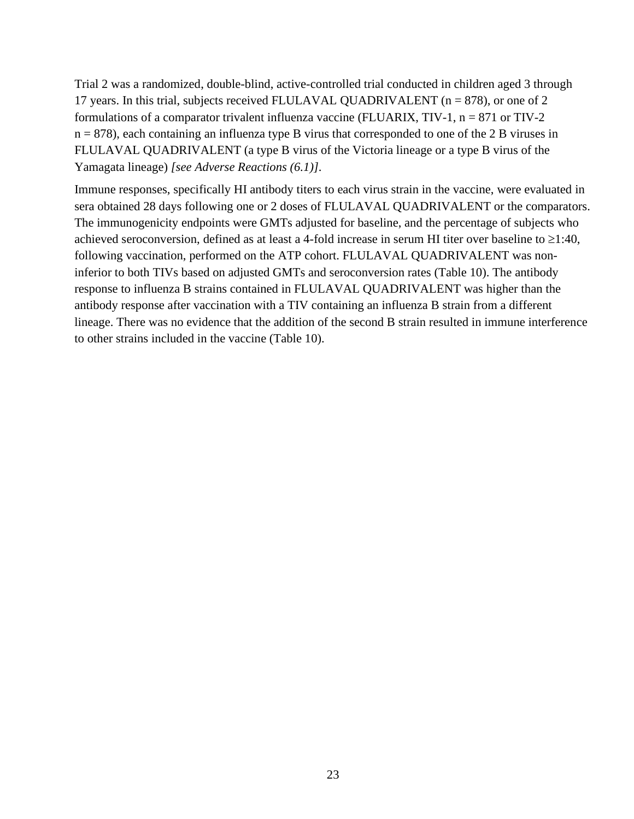Trial 2 was a randomized, double-blind, active-controlled trial conducted in children aged 3 through 17 years. In this trial, subjects received FLULAVAL QUADRIVALENT ( $n = 878$ ), or one of 2 formulations of a comparator trivalent influenza vaccine (FLUARIX,  $TIV-1$ ,  $n = 871$  or  $TIV-2$  $n = 878$ ), each containing an influenza type B virus that corresponded to one of the 2 B viruses in FLULAVAL QUADRIVALENT (a type B virus of the Victoria lineage or a type B virus of the Yamagata lineage) *[see Adverse Reactions (6.1)]*.

Immune responses, specifically HI antibody titers to each virus strain in the vaccine, were evaluated in sera obtained 28 days following one or 2 doses of FLULAVAL QUADRIVALENT or the comparators. The immunogenicity endpoints were GMTs adjusted for baseline, and the percentage of subjects who achieved seroconversion, defined as at least a 4-fold increase in serum HI titer over baseline to ≥1:40, following vaccination, performed on the ATP cohort. FLULAVAL QUADRIVALENT was noninferior to both TIVs based on adjusted GMTs and seroconversion rates (Table 10). The antibody response to influenza B strains contained in FLULAVAL QUADRIVALENT was higher than the antibody response after vaccination with a TIV containing an influenza B strain from a different lineage. There was no evidence that the addition of the second B strain resulted in immune interference to other strains included in the vaccine (Table 10).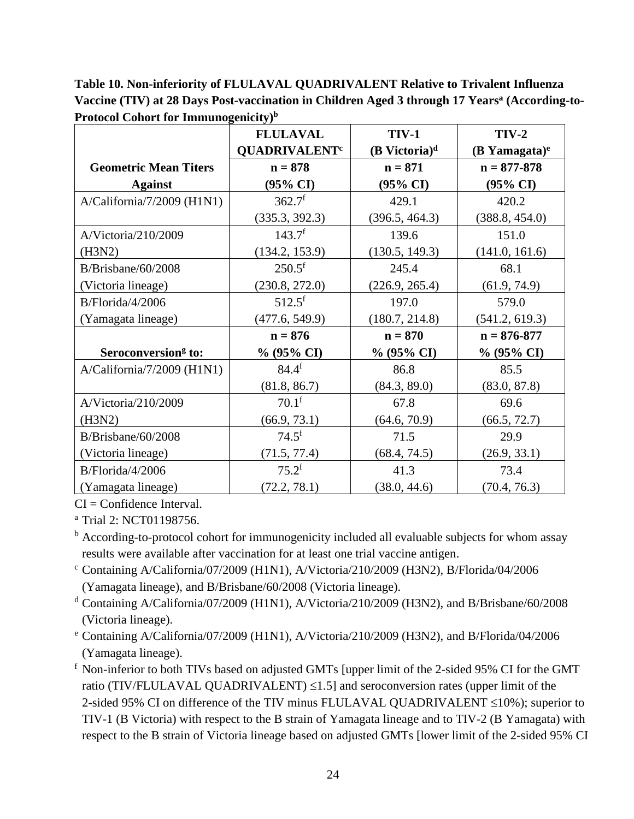**Table 10. Non-inferiority of FLULAVAL QUADRIVALENT Relative to Trivalent Influenza Vaccine (TIV) at 28 Days Post-vaccination in Children Aged 3 through 17 Yearsa (According-to-Protocol Cohort for Immunogenicity)b**

|                                 | <b>FLULAVAL</b>                 | <b>TIV-1</b>                | $TIV-2$             |
|---------------------------------|---------------------------------|-----------------------------|---------------------|
|                                 | <b>QUADRIVALENT<sup>c</sup></b> | $(B$ Victoria) <sup>d</sup> | $(B$ Yamagata) $e$  |
| <b>Geometric Mean Titers</b>    | $n = 878$                       | $n = 871$                   | $n = 877 - 878$     |
| <b>Against</b>                  | $(95\% \text{ CI})$             | $(95\% \text{ CI})$         | $(95\% \text{ CI})$ |
| A/California/7/2009 (H1N1)      | 362.7 <sup>f</sup>              | 429.1                       | 420.2               |
|                                 | (335.3, 392.3)                  | (396.5, 464.3)              | (388.8, 454.0)      |
| A/Victoria/210/2009             | 143.7 <sup>f</sup>              | 139.6                       | 151.0               |
| (H3N2)                          | (134.2, 153.9)                  | (130.5, 149.3)              | (141.0, 161.6)      |
| $B/B$ risbane/60/2008           | $250.5$ <sup>f</sup>            | 245.4                       | 68.1                |
| (Victoria lineage)              | (230.8, 272.0)                  | (226.9, 265.4)              | (61.9, 74.9)        |
| B/Florida/4/2006                | $512.5$ <sup>f</sup>            | 197.0                       | 579.0               |
| (Yamagata lineage)              | (477.6, 549.9)                  | (180.7, 214.8)              | (541.2, 619.3)      |
|                                 | $n = 876$                       | $n = 870$                   | $n = 876 - 877$     |
| Seroconversion <sup>g</sup> to: | $% (95\% CI)$                   | $\%$ (95% CI)               | % (95% CI)          |
| A/California/7/2009 (H1N1)      | $84.4^{f}$                      | 86.8                        | 85.5                |
|                                 | (81.8, 86.7)                    | (84.3, 89.0)                | (83.0, 87.8)        |
| A/Victoria/210/2009             | $70.1^{\rm f}$                  | 67.8                        | 69.6                |
| (H3N2)                          | (66.9, 73.1)                    | (64.6, 70.9)                | (66.5, 72.7)        |
| $B/B$ risbane/60/2008           | $74.5^{\rm f}$                  | 71.5                        | 29.9                |
| (Victoria lineage)              | (71.5, 77.4)                    | (68.4, 74.5)                | (26.9, 33.1)        |
| B/Florida/4/2006                | $75.2^{\rm f}$                  | 41.3                        | 73.4                |
| (Yamagata lineage)              | (72.2, 78.1)                    | (38.0, 44.6)                | (70.4, 76.3)        |

 $CI =$ Confidence Interval.

<sup>a</sup> Trial 2: NCT01198756.

<sup>b</sup> According-to-protocol cohort for immunogenicity included all evaluable subjects for whom assay results were available after vaccination for at least one trial vaccine antigen.

- <sup>c</sup> Containing A/California/07/2009 (H1N1), A/Victoria/210/2009 (H3N2), B/Florida/04/2006 (Yamagata lineage), and B/Brisbane/60/2008 (Victoria lineage).
- <sup>d</sup> Containing A/California/07/2009 (H1N1), A/Victoria/210/2009 (H3N2), and B/Brisbane/60/2008 (Victoria lineage).
- <sup>e</sup> Containing A/California/07/2009 (H1N1), A/Victoria/210/2009 (H3N2), and B/Florida/04/2006 (Yamagata lineage).

<sup>f</sup> Non-inferior to both TIVs based on adjusted GMTs [upper limit of the 2-sided 95% CI for the GMT ratio (TIV/FLULAVAL QUADRIVALENT)  $\leq$ 1.5] and seroconversion rates (upper limit of the 2-sided 95% CI on difference of the TIV minus FLULAVAL QUADRIVALENT ≤10%); superior to TIV-1 (B Victoria) with respect to the B strain of Yamagata lineage and to TIV-2 (B Yamagata) with respect to the B strain of Victoria lineage based on adjusted GMTs [lower limit of the 2-sided 95% CI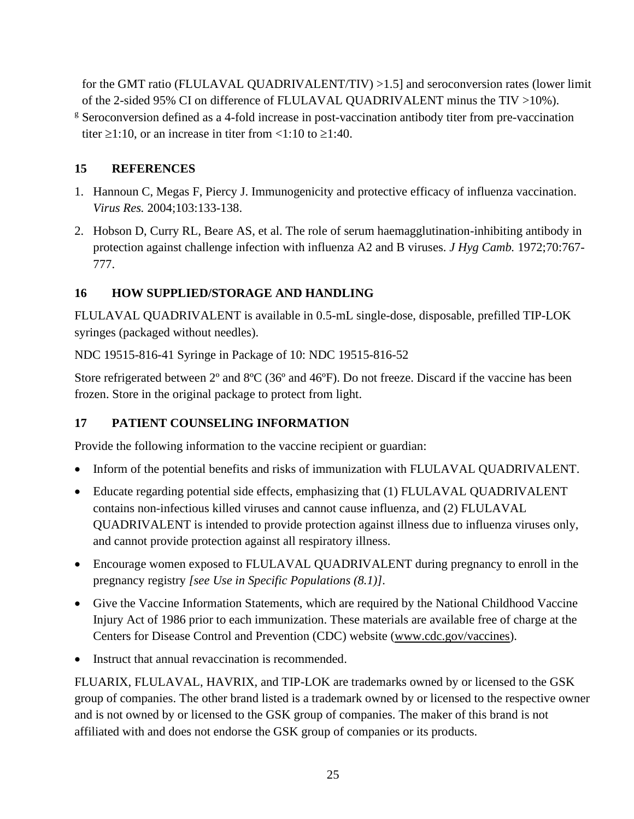for the GMT ratio (FLULAVAL QUADRIVALENT/TIV) >1.5] and seroconversion rates (lower limit of the 2-sided 95% CI on difference of FLULAVAL QUADRIVALENT minus the TIV >10%).

<sup>g</sup> Seroconversion defined as a 4-fold increase in post-vaccination antibody titer from pre-vaccination titer  $\geq$ 1:10, or an increase in titer from <1:10 to  $\geq$ 1:40.

## <span id="page-24-0"></span>**15 REFERENCES**

- 1. Hannoun C, Megas F, Piercy J. Immunogenicity and protective efficacy of influenza vaccination. *Virus Res.* 2004;103:133-138.
- 2. Hobson D, Curry RL, Beare AS, et al. The role of serum haemagglutination-inhibiting antibody in protection against challenge infection with influenza A2 and B viruses. *J Hyg Camb.* 1972;70:767- 777.

## <span id="page-24-1"></span>**16 HOW SUPPLIED/STORAGE AND HANDLING**

FLULAVAL QUADRIVALENT is available in 0.5-mL single-dose, disposable, prefilled TIP-LOK syringes (packaged without needles).

NDC 19515-816-41 Syringe in Package of 10: NDC 19515-816-52

Store refrigerated between 2<sup>°</sup> and 8<sup>°</sup>C (36<sup>°</sup> and 46<sup>°</sup>F). Do not freeze. Discard if the vaccine has been frozen. Store in the original package to protect from light.

## <span id="page-24-2"></span>**17 PATIENT COUNSELING INFORMATION**

Provide the following information to the vaccine recipient or guardian:

- Inform of the potential benefits and risks of immunization with FLULAVAL QUADRIVALENT.
- Educate regarding potential side effects, emphasizing that (1) FLULAVAL QUADRIVALENT contains non-infectious killed viruses and cannot cause influenza, and (2) FLULAVAL QUADRIVALENT is intended to provide protection against illness due to influenza viruses only, and cannot provide protection against all respiratory illness.
- Encourage women exposed to FLULAVAL QUADRIVALENT during pregnancy to enroll in the pregnancy registry *[see Use in Specific Populations (8.1)]*.
- Give the Vaccine Information Statements, which are required by the National Childhood Vaccine Injury Act of 1986 prior to each immunization. These materials are available free of charge at the Centers for Disease Control and Prevention (CDC) website [\(www.cdc.gov/vaccines\)](http://www.cdc.gov/vaccines).
- Instruct that annual revaccination is recommended.

FLUARIX, FLULAVAL, HAVRIX, and TIP-LOK are trademarks owned by or licensed to the GSK group of companies. The other brand listed is a trademark owned by or licensed to the respective owner and is not owned by or licensed to the GSK group of companies. The maker of this brand is not affiliated with and does not endorse the GSK group of companies or its products.